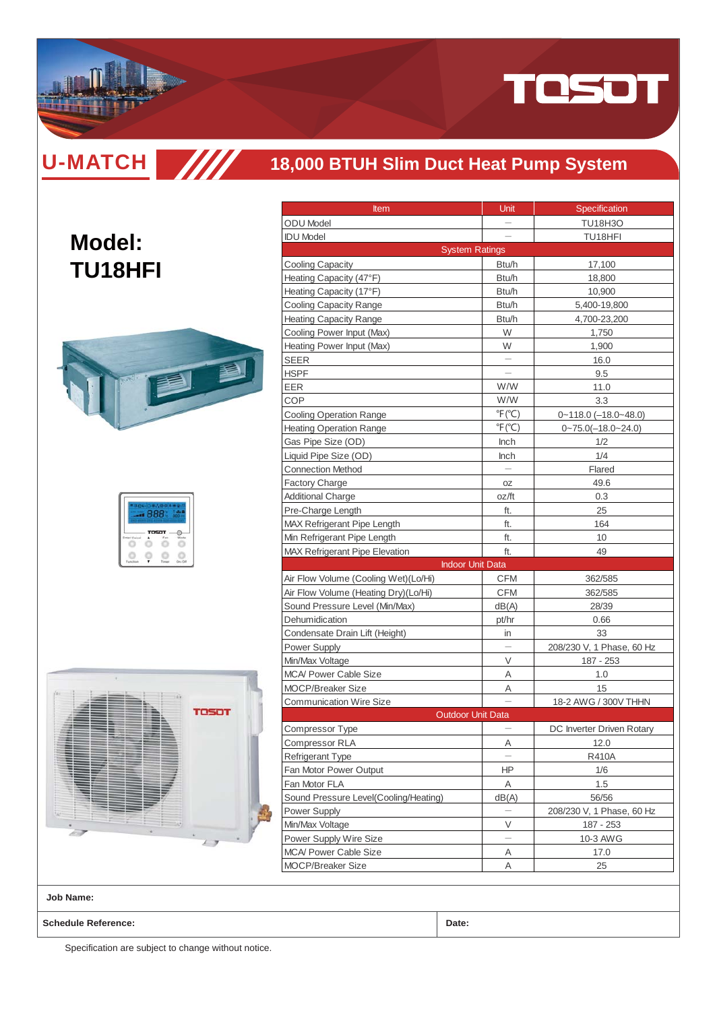

**U-MATCH SIIII** 

**Model:**

**TU18HFI**

## **18,000 BTUH Slim Duct Heat Pump System**

# 

| 72. |              |  |
|-----|--------------|--|
|     | <b>TOSOT</b> |  |
|     |              |  |



| <b>Item</b>                                       | Unit                           | Specification                     |
|---------------------------------------------------|--------------------------------|-----------------------------------|
| <b>ODU Model</b>                                  |                                | <b>TU18H3O</b>                    |
| <b>IDU Model</b>                                  |                                | TU18HFI                           |
|                                                   | <b>System Ratings</b>          |                                   |
| <b>Cooling Capacity</b>                           | Btu/h                          | 17,100                            |
| Heating Capacity (47°F)                           | Btu/h                          | 18,800                            |
| Heating Capacity (17°F)                           | Btu/h                          | 10,900                            |
| <b>Cooling Capacity Range</b>                     | Btu/h                          | 5,400-19,800                      |
| <b>Heating Capacity Range</b>                     | Btu/h                          | 4,700-23,200                      |
| Cooling Power Input (Max)                         | W                              | 1.750                             |
| Heating Power Input (Max)                         | W                              | 1,900                             |
| SEER                                              |                                | 16.0                              |
| HSPF                                              |                                | 9.5                               |
| EER                                               | W/W                            | 11.0                              |
| COP                                               | W/W                            | 3.3                               |
| <b>Cooling Operation Range</b>                    | $\degree$ F( $\degree$ C)      | $0 - 118.0$ $(-18.0 - 48.0)$      |
| <b>Heating Operation Range</b>                    | $\degree$ F( $\degree$ C)      | $0 - 75.0(-18.0 - 24.0)$          |
| Gas Pipe Size (OD)                                | Inch                           | 1/2                               |
|                                                   |                                | 1/4                               |
| Liquid Pipe Size (OD)<br><b>Connection Method</b> | Inch                           | Flared                            |
|                                                   |                                |                                   |
| <b>Factory Charge</b>                             | 0Z                             | 49.6                              |
| <b>Additional Charge</b>                          | oz/ft                          | 0.3                               |
| Pre-Charge Length                                 | ft.                            | 25                                |
| <b>MAX Refrigerant Pipe Length</b>                | ft.                            | 164                               |
| Min Refrigerant Pipe Length                       | ft.                            | 10                                |
| <b>MAX Refrigerant Pipe Elevation</b>             | ft.<br><b>Indoor Unit Data</b> | 49                                |
|                                                   |                                |                                   |
| Air Flow Volume (Cooling Wet)(Lo/Hi)              | <b>CFM</b>                     | 362/585                           |
| Air Flow Volume (Heating Dry)(Lo/Hi)              | CFM                            | 362/585                           |
| Sound Pressure Level (Min/Max)                    | dB(A)                          | 28/39                             |
| Dehumidication                                    | pt/hr                          | 0.66                              |
| Condensate Drain Lift (Height)                    | in                             | 33                                |
| <b>Power Supply</b>                               |                                | 208/230 V, 1 Phase, 60 Hz         |
| Min/Max Voltage                                   | V                              | 187 - 253                         |
| MCA/ Power Cable Size                             | Α                              | 1.0                               |
| <b>MOCP/Breaker Size</b>                          | Α                              | 15                                |
| <b>Communication Wire Size</b>                    | <b>Outdoor Unit Data</b>       | 18-2 AWG / 300V THHN              |
|                                                   |                                |                                   |
| Compressor Type<br><b>Compressor RLA</b>          |                                | DC Inverter Driven Rotary<br>12.0 |
| Refrigerant Type                                  | Α                              | R410A                             |
| Fan Motor Power Output                            | ΗP                             |                                   |
| Fan Motor FLA                                     | Α                              | 1/6<br>1.5                        |
|                                                   | dB(A)                          | 56/56                             |
| Sound Pressure Level(Cooling/Heating)             |                                |                                   |
| Power Supply                                      |                                | 208/230 V, 1 Phase, 60 Hz         |
| Min/Max Voltage                                   | V                              | 187 - 253                         |
| Power Supply Wire Size                            |                                | 10-3 AWG                          |
| <b>MCA/ Power Cable Size</b>                      | Α                              | 17.0                              |
| <b>MOCP/Breaker Size</b>                          | Α                              | 25                                |

**Job Name:**

**Schedule Reference: Date:**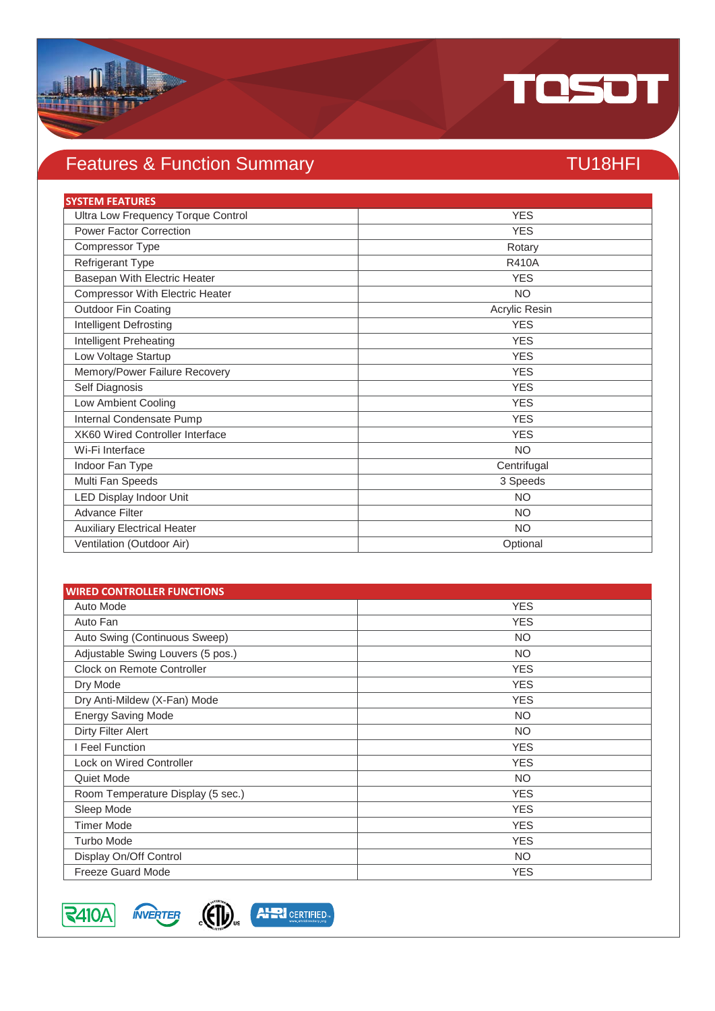

## Features & Function Summary TU18HFI

| <b>SYSTEM FEATURES</b>                 |               |
|----------------------------------------|---------------|
| Ultra Low Frequency Torque Control     | <b>YES</b>    |
| <b>Power Factor Correction</b>         | <b>YES</b>    |
| Compressor Type                        | Rotary        |
| Refrigerant Type                       | <b>R410A</b>  |
| Basepan With Electric Heater           | <b>YES</b>    |
| Compressor With Electric Heater        | <b>NO</b>     |
| <b>Outdoor Fin Coating</b>             | Acrylic Resin |
| <b>Intelligent Defrosting</b>          | <b>YES</b>    |
| Intelligent Preheating                 | <b>YES</b>    |
| Low Voltage Startup                    | <b>YES</b>    |
| Memory/Power Failure Recovery          | <b>YES</b>    |
| Self Diagnosis                         | <b>YES</b>    |
| Low Ambient Cooling                    | <b>YES</b>    |
| Internal Condensate Pump               | <b>YES</b>    |
| <b>XK60 Wired Controller Interface</b> | <b>YES</b>    |
| Wi-Fi Interface                        | <b>NO</b>     |
| Indoor Fan Type                        | Centrifugal   |
| Multi Fan Speeds                       | 3 Speeds      |
| LED Display Indoor Unit                | <b>NO</b>     |
| <b>Advance Filter</b>                  | <b>NO</b>     |
| <b>Auxiliary Electrical Heater</b>     | <b>NO</b>     |
| Ventilation (Outdoor Air)              | Optional      |

| <b>WIRED CONTROLLER FUNCTIONS</b> |            |
|-----------------------------------|------------|
| Auto Mode                         | <b>YES</b> |
| Auto Fan                          | <b>YES</b> |
| Auto Swing (Continuous Sweep)     | <b>NO</b>  |
| Adjustable Swing Louvers (5 pos.) | <b>NO</b>  |
| Clock on Remote Controller        | <b>YES</b> |
| Dry Mode                          | <b>YES</b> |
| Dry Anti-Mildew (X-Fan) Mode      | <b>YES</b> |
| <b>Energy Saving Mode</b>         | <b>NO</b>  |
| Dirty Filter Alert                | <b>NO</b>  |
| I Feel Function                   | <b>YES</b> |
| <b>Lock on Wired Controller</b>   | <b>YES</b> |
| Quiet Mode                        | <b>NO</b>  |
| Room Temperature Display (5 sec.) | <b>YES</b> |
| Sleep Mode                        | <b>YES</b> |
| <b>Timer Mode</b>                 | <b>YES</b> |
| <b>Turbo Mode</b>                 | <b>YES</b> |
| Display On/Off Control            | NO.        |
| <b>Freeze Guard Mode</b>          | <b>YES</b> |



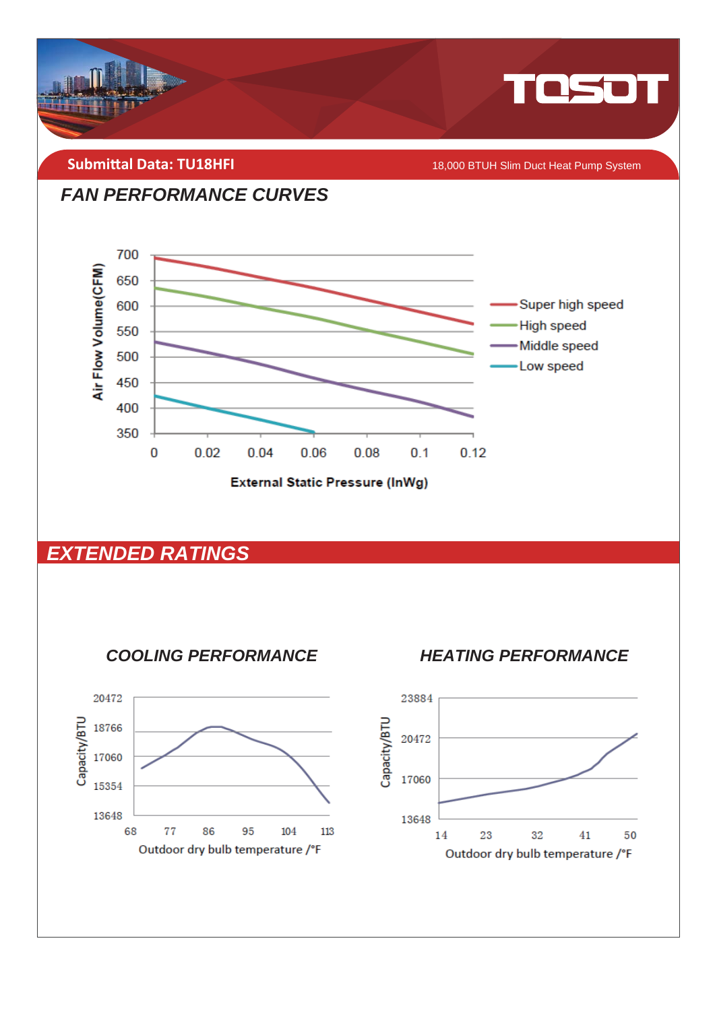

**Submittal Data: TU18HFI** 

18,000 BTUH Slim Duct Heat Pump System

#### **FAN PERFORMANCE CURVES**



## **EXTENDED RATINGS**



**HEATING PERFORMANCE** 

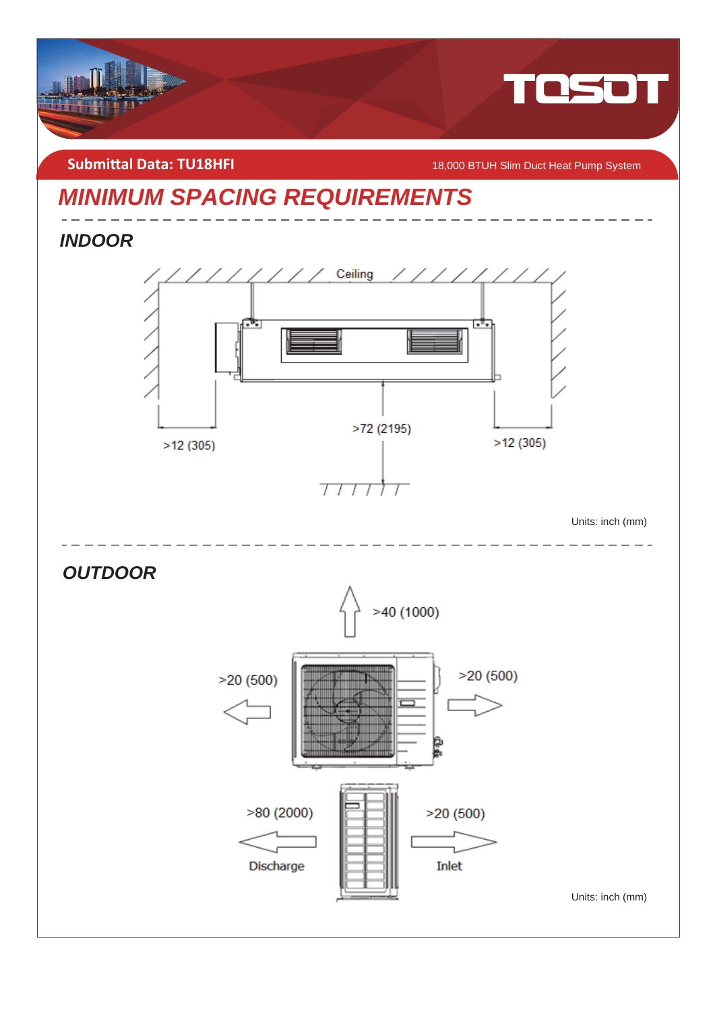

**Submittal Data: TU18HFI** *COMBIT ACCORD MAGNO BTUH Slim Duct Heat Pump System* 

## *MINIMUM SPACING REQUIREMENTS*

*INDOOR* 



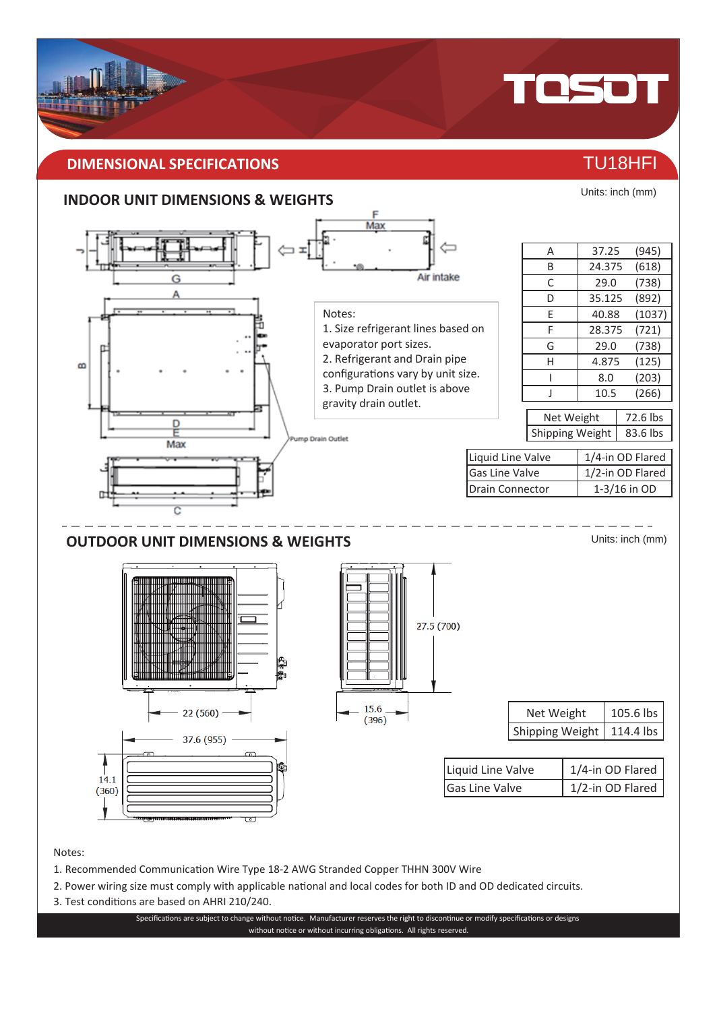#### **DIMENSIONAL SPECIFICATIONS** THE RESERVE OF THE RESERVE TU18HFI

#### **INDOOR UNIT DIMENSIONS & WEIGHTS**



Notes:

- 1. Recommended Communication Wire Type 18-2 AWG Stranded Copper THHN 300V Wire
- 2. Power wiring size must comply with applicable national and local codes for both ID and OD dedicated circuits.
- 3. Test conditions are based on AHRI 210/240.

Specifications are subject to change without notice. Manufacturer reserves the right to discontinue or modify specifications or designs without notice or without incurring obligations. All rights reserved.



TOSOT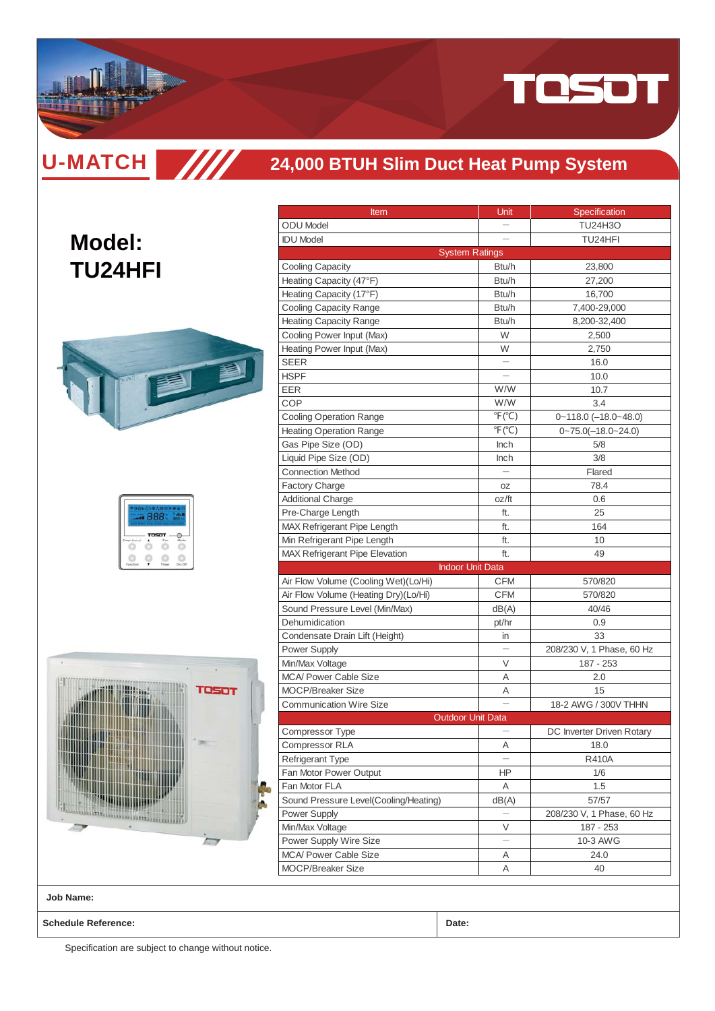

**U-MATCH SIIII** 

#### **24,000 BTUH Slim Duct Heat Pump System**

## **Model: TU24HFI**



|  | -9212 |  |
|--|-------|--|
|  | TOSOT |  |
|  |       |  |



| <u>Item</u>                           | Unit                      | Specification                |
|---------------------------------------|---------------------------|------------------------------|
| <b>ODU</b> Model                      |                           | <b>TU24H3O</b>               |
| <b>IDU Model</b>                      |                           | TU24HFI                      |
| <b>System Ratings</b>                 |                           |                              |
| <b>Cooling Capacity</b>               | Btu/h                     | 23,800                       |
| Heating Capacity (47°F)               | Btu/h                     | 27,200                       |
| Heating Capacity (17°F)               | Btu/h                     | 16,700                       |
| <b>Cooling Capacity Range</b>         | Btu/h                     | 7,400-29,000                 |
| <b>Heating Capacity Range</b>         | Btu/h                     | 8,200-32,400                 |
| Cooling Power Input (Max)             | W                         | 2,500                        |
| Heating Power Input (Max)             | W                         | 2,750                        |
| <b>SEER</b>                           |                           | 16.0                         |
| <b>HSPF</b>                           |                           | 10.0                         |
| EER                                   | W/W                       | 10.7                         |
| COP                                   | W/W                       | 3.4                          |
| <b>Cooling Operation Range</b>        | $\degree$ F $(\degree$ C) | $0 - 118.0$ $(-18.0 - 48.0)$ |
| <b>Heating Operation Range</b>        | $\degree$ F( $\degree$ C) | $0 - 75.0(-18.0 - 24.0)$     |
| Gas Pipe Size (OD)                    | Inch                      | 5/8                          |
| Liquid Pipe Size (OD)                 | <b>Inch</b>               | 3/8                          |
| <b>Connection Method</b>              |                           | Flared                       |
| Factory Charge                        | 0Z                        | 78.4                         |
| <b>Additional Charge</b>              | oz/ft                     | 0.6                          |
| Pre-Charge Length                     | ft.                       | 25                           |
| MAX Refrigerant Pipe Length           | ft.                       | 164                          |
| Min Refrigerant Pipe Length           | ft.                       | 10                           |
| <b>MAX Refrigerant Pipe Elevation</b> | ft.                       | 49                           |
| <b>Indoor Unit Data</b>               |                           |                              |
| Air Flow Volume (Cooling Wet)(Lo/Hi)  | CFM                       | 570/820                      |
| Air Flow Volume (Heating Dry)(Lo/Hi)  | <b>CFM</b>                | 570/820                      |
| Sound Pressure Level (Min/Max)        | dB(A)                     | 40/46                        |
| Dehumidication                        | pt/hr                     | 0.9                          |
| Condensate Drain Lift (Height)        | in                        | 33                           |
| <b>Power Supply</b>                   |                           | 208/230 V, 1 Phase, 60 Hz    |
| Min/Max Voltage                       | V                         | 187 - 253                    |
| <b>MCA/ Power Cable Size</b>          | Α                         | 2.0                          |
| <b>MOCP/Breaker Size</b>              | Α                         | 15                           |
| <b>Communication Wire Size</b>        |                           | 18-2 AWG / 300V THHN         |
| <b>Outdoor Unit Data</b>              |                           |                              |
| Compressor Type                       |                           | DC Inverter Driven Rotary    |
| Compressor RLA                        | Α                         | 18.0                         |
| Refrigerant Type                      |                           | <b>R410A</b>                 |
| Fan Motor Power Output                | ΗP                        | 1/6                          |
| Fan Motor FLA                         | Α                         | 1.5                          |
| Sound Pressure Level(Cooling/Heating) | dB(A)                     | 57/57                        |
| Power Supply                          |                           | 208/230 V, 1 Phase, 60 Hz    |
| Min/Max Voltage                       | V                         | 187 - 253                    |
| Power Supply Wire Size                |                           | 10-3 AWG                     |
| MCA/ Power Cable Size                 | Α                         | 24.0                         |
| <b>MOCP/Breaker Size</b>              | Α                         | 40                           |
|                                       |                           |                              |

**Job Name:**

**Schedule Reference: Date:**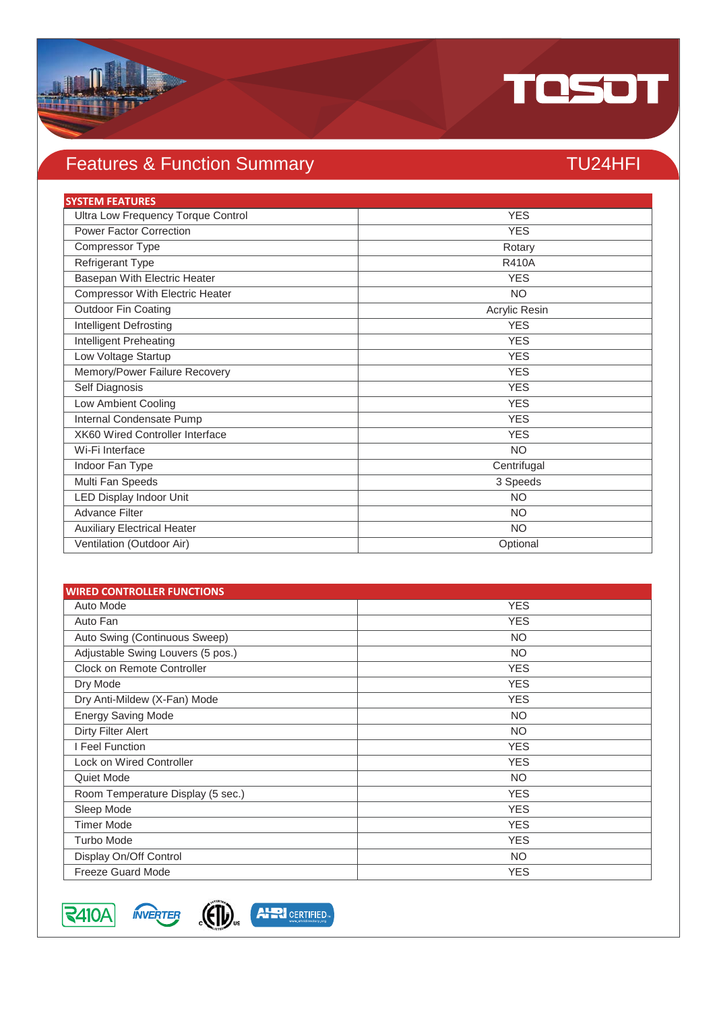

## Features & Function Summary TU24HFI

| <b>SYSTEM FEATURES</b>             |               |
|------------------------------------|---------------|
| Ultra Low Frequency Torque Control | <b>YES</b>    |
| <b>Power Factor Correction</b>     | <b>YES</b>    |
| Compressor Type                    | Rotary        |
| Refrigerant Type                   | <b>R410A</b>  |
| Basepan With Electric Heater       | <b>YES</b>    |
| Compressor With Electric Heater    | <b>NO</b>     |
| <b>Outdoor Fin Coating</b>         | Acrylic Resin |
| <b>Intelligent Defrosting</b>      | <b>YES</b>    |
| Intelligent Preheating             | <b>YES</b>    |
| Low Voltage Startup                | <b>YES</b>    |
| Memory/Power Failure Recovery      | <b>YES</b>    |
| Self Diagnosis                     | <b>YES</b>    |
| Low Ambient Cooling                | <b>YES</b>    |
| Internal Condensate Pump           | <b>YES</b>    |
| XK60 Wired Controller Interface    | <b>YES</b>    |
| Wi-Fi Interface                    | <b>NO</b>     |
| Indoor Fan Type                    | Centrifugal   |
| Multi Fan Speeds                   | 3 Speeds      |
| LED Display Indoor Unit            | <b>NO</b>     |
| <b>Advance Filter</b>              | <b>NO</b>     |
| <b>Auxiliary Electrical Heater</b> | <b>NO</b>     |
| Ventilation (Outdoor Air)          | Optional      |

| <b>WIRED CONTROLLER FUNCTIONS</b> |            |
|-----------------------------------|------------|
| Auto Mode                         | <b>YES</b> |
| Auto Fan                          | <b>YES</b> |
| Auto Swing (Continuous Sweep)     | <b>NO</b>  |
| Adjustable Swing Louvers (5 pos.) | <b>NO</b>  |
| Clock on Remote Controller        | <b>YES</b> |
| Dry Mode                          | <b>YES</b> |
| Dry Anti-Mildew (X-Fan) Mode      | <b>YES</b> |
| <b>Energy Saving Mode</b>         | <b>NO</b>  |
| Dirty Filter Alert                | <b>NO</b>  |
| I Feel Function                   | <b>YES</b> |
| <b>Lock on Wired Controller</b>   | <b>YES</b> |
| Quiet Mode                        | <b>NO</b>  |
| Room Temperature Display (5 sec.) | <b>YES</b> |
| Sleep Mode                        | <b>YES</b> |
| <b>Timer Mode</b>                 | <b>YES</b> |
| <b>Turbo Mode</b>                 | <b>YES</b> |
| Display On/Off Control            | <b>NO</b>  |
| <b>Freeze Guard Mode</b>          | <b>YES</b> |

 $3410A$ 



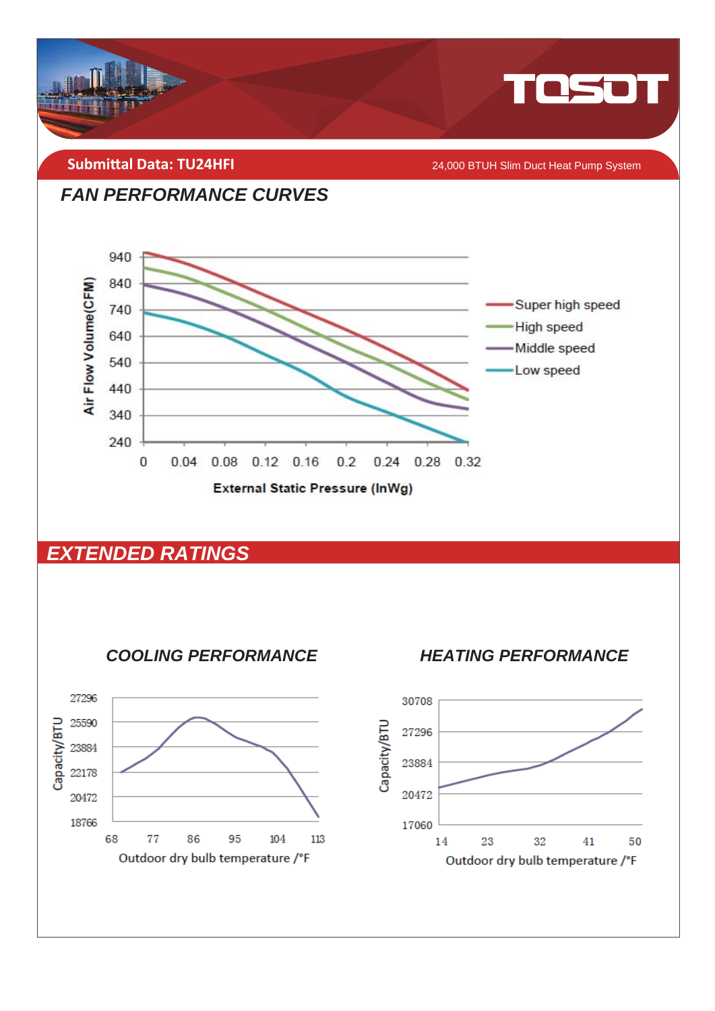

Outdoor dry bulb temperature /°F

Outdoor dry bulb temperature /°F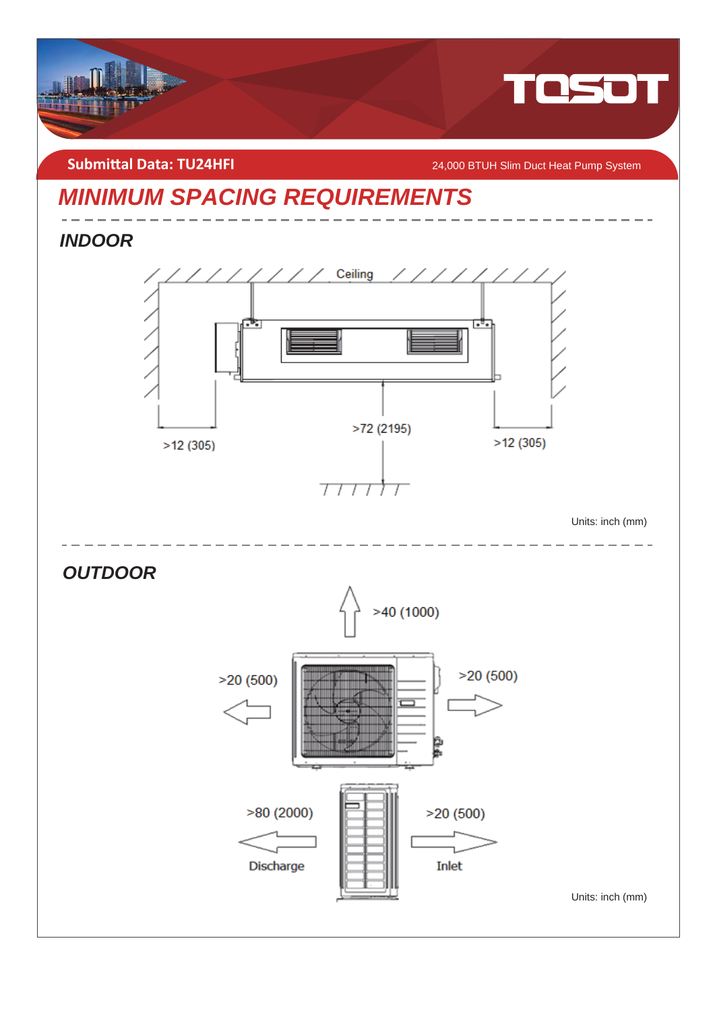

**Submittal Data: TU24HFI** 24,000 BTUH Slim Duct Heat Pump System

## *MINIMUM SPACING REQUIREMENTS*

*INDOOR* 



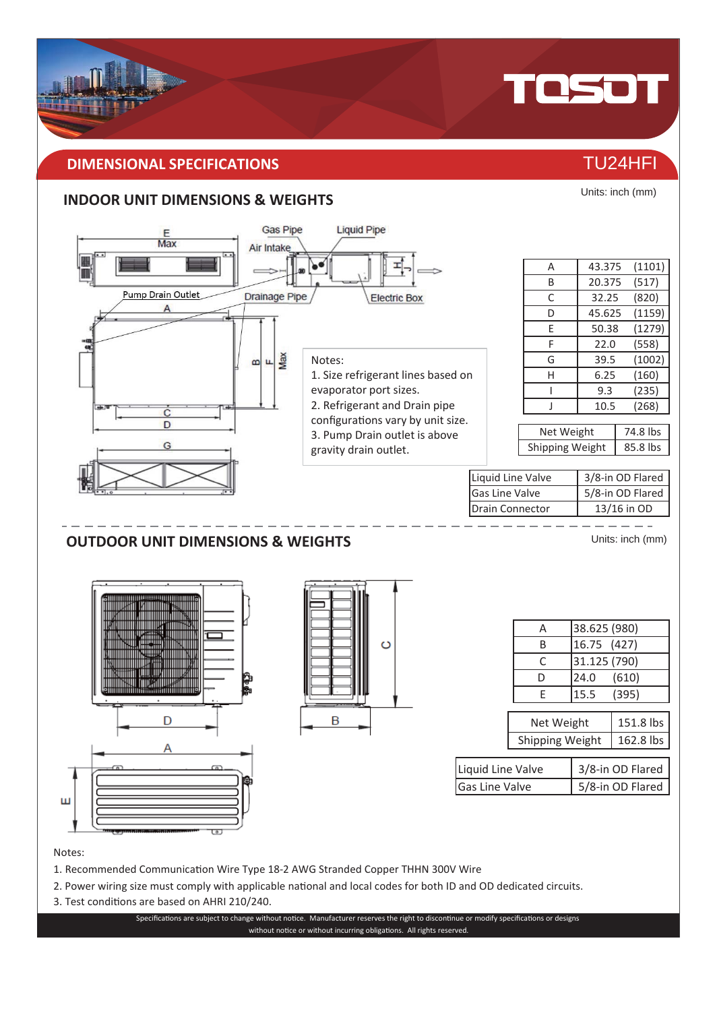#### **DIMENSIONAL SPECIFICATIONS** THE CONSTRUCTION OF TU24HFI

#### **INDOOR UNIT DIMENSIONS & WEIGHTS**



#### Notes:

- 1. Recommended Communication Wire Type 18-2 AWG Stranded Copper THHN 300V Wire
- 2. Power wiring size must comply with applicable national and local codes for both ID and OD dedicated circuits.
- 3. Test conditions are based on AHRI 210/240.

Specifications are subject to change without notice. Manufacturer reserves the right to discontinue or modify specifications or designs without notice or without incurring obligations. All rights reserved.



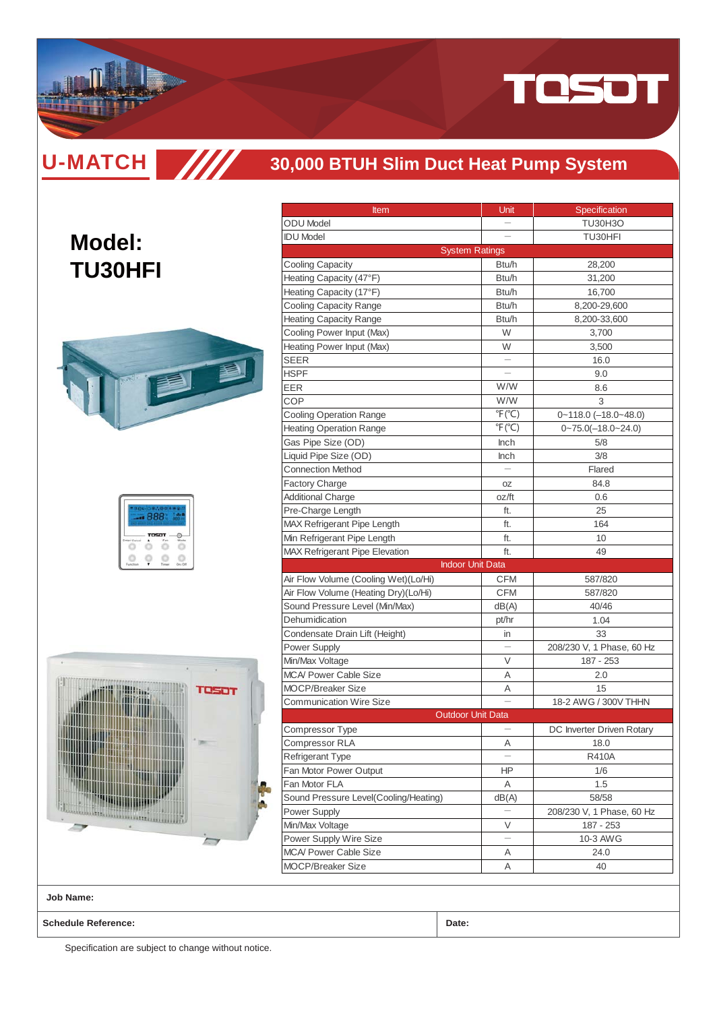

**U-MATCH SIMI** 

**Model:**

#### **30,000 BTUH Slim Duct Heat Pump System**

## **TU30HFI**



|  | TOSOT |  |
|--|-------|--|
|  |       |  |



| Item                                  | Unit                      | Specification                |
|---------------------------------------|---------------------------|------------------------------|
| <b>ODU</b> Model                      |                           | <b>TU30H3O</b>               |
| <b>IDU Model</b>                      |                           | TU30HFI                      |
|                                       | <b>System Ratings</b>     |                              |
| <b>Cooling Capacity</b>               | Btu/h                     | 28,200                       |
| Heating Capacity (47°F)               | Btu/h                     | 31,200                       |
| Heating Capacity (17°F)               | Btu/h                     | 16,700                       |
| Cooling Capacity Range                | Btu/h                     | 8,200-29,600                 |
| <b>Heating Capacity Range</b>         | Btu/h                     | 8,200-33,600                 |
| Cooling Power Input (Max)             | W                         | 3,700                        |
| Heating Power Input (Max)             | W                         | 3.500                        |
| SEER                                  |                           | 16.0                         |
| <b>HSPF</b>                           |                           | 9.0                          |
| EER                                   | W/W                       | 8.6                          |
| COP                                   | W/W                       | 3                            |
| <b>Cooling Operation Range</b>        | $\mathrm{P}(\mathrm{C})$  | $0 - 118.0$ $(-18.0 - 48.0)$ |
| <b>Heating Operation Range</b>        | $\degree$ F( $\degree$ C) | $0 - 75.0(-18.0 - 24.0)$     |
| Gas Pipe Size (OD)                    | <b>Inch</b>               | 5/8                          |
| Liquid Pipe Size (OD)                 | Inch                      | 3/8                          |
| <b>Connection Method</b>              |                           | Flared                       |
| <b>Factory Charge</b>                 | 0Z                        | 84.8                         |
| <b>Additional Charge</b>              | oz/ft                     | 0.6                          |
| Pre-Charge Length                     | ft.                       | 25                           |
| MAX Refrigerant Pipe Length           | ft.                       | 164                          |
| Min Refrigerant Pipe Length           | ft.                       | 10                           |
| <b>MAX Refrigerant Pipe Elevation</b> | ft.                       | 49                           |
|                                       | <b>Indoor Unit Data</b>   |                              |
| Air Flow Volume (Cooling Wet)(Lo/Hi)  | CFM                       | 587/820                      |
| Air Flow Volume (Heating Dry)(Lo/Hi)  | CFM                       | 587/820                      |
| Sound Pressure Level (Min/Max)        | dB(A)                     | 40/46                        |
| Dehumidication                        | pt/hr                     | 1.04                         |
| Condensate Drain Lift (Height)        | in                        | 33                           |
| <b>Power Supply</b>                   |                           | 208/230 V, 1 Phase, 60 Hz    |
| Min/Max Voltage                       | V                         | 187 - 253                    |
| <b>MCA/ Power Cable Size</b>          | A                         | 2.0                          |
| <b>MOCP/Breaker Size</b>              | Α                         | 15                           |
| <b>Communication Wire Size</b>        |                           | 18-2 AWG / 300V THHN         |
|                                       | <b>Outdoor Unit Data</b>  |                              |
| Compressor Type                       |                           | DC Inverter Driven Rotary    |
| Compressor RLA                        | Α                         | 18.0                         |
| Refrigerant Type                      |                           | <b>R410A</b>                 |
| Fan Motor Power Output                | ΗP                        | 1/6                          |
| Fan Motor FLA                         | Α                         | 1.5                          |
| Sound Pressure Level(Cooling/Heating) | dB(A)                     | 58/58                        |
| Power Supply                          |                           | 208/230 V, 1 Phase, 60 Hz    |
| Min/Max Voltage                       | V                         | 187 - 253                    |
| Power Supply Wire Size                |                           | 10-3 AWG                     |
| <b>MCA/ Power Cable Size</b>          | Α                         | 24.0                         |
| MOCP/Breaker Size                     | Α                         | 40                           |
|                                       |                           |                              |

**Job Name:**

**Schedule Reference: Date:**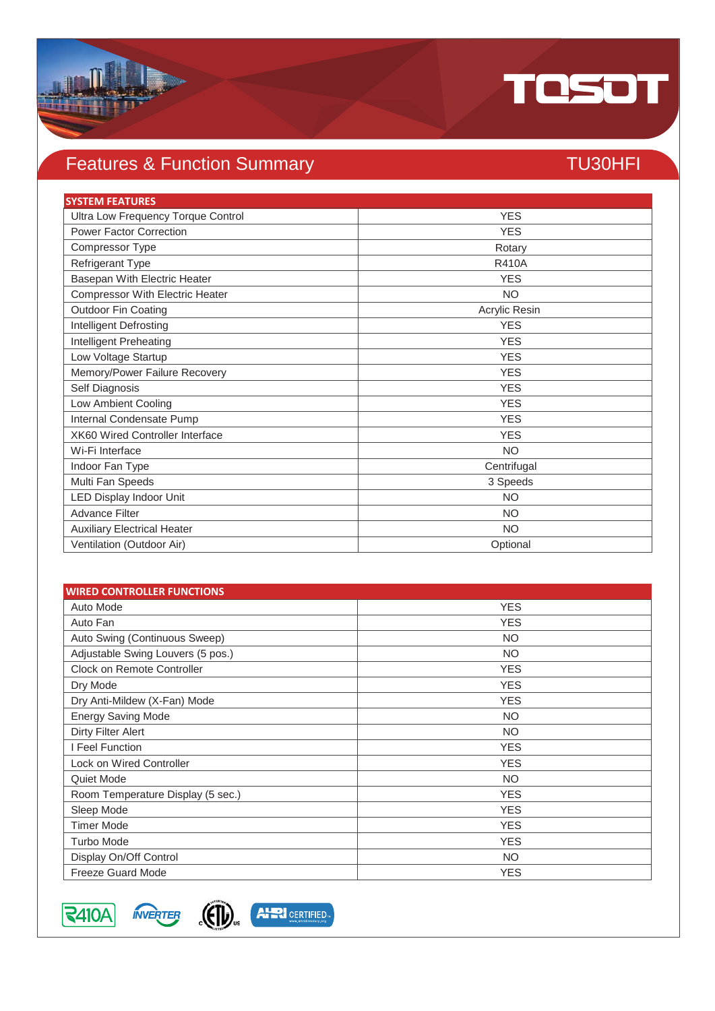

## Features & Function Summary TU30HFI

| <b>SYSTEM FEATURES</b>                 |               |
|----------------------------------------|---------------|
| Ultra Low Frequency Torque Control     | <b>YES</b>    |
| <b>Power Factor Correction</b>         | <b>YES</b>    |
| Compressor Type                        | Rotary        |
| Refrigerant Type                       | <b>R410A</b>  |
| Basepan With Electric Heater           | <b>YES</b>    |
| <b>Compressor With Electric Heater</b> | <b>NO</b>     |
| Outdoor Fin Coating                    | Acrylic Resin |
| Intelligent Defrosting                 | <b>YES</b>    |
| Intelligent Preheating                 | <b>YES</b>    |
| Low Voltage Startup                    | <b>YES</b>    |
| Memory/Power Failure Recovery          | <b>YES</b>    |
| Self Diagnosis                         | <b>YES</b>    |
| Low Ambient Cooling                    | <b>YES</b>    |
| Internal Condensate Pump               | <b>YES</b>    |
| XK60 Wired Controller Interface        | <b>YES</b>    |
| Wi-Fi Interface                        | <b>NO</b>     |
| Indoor Fan Type                        | Centrifugal   |
| Multi Fan Speeds                       | 3 Speeds      |
| LED Display Indoor Unit                | <b>NO</b>     |
| <b>Advance Filter</b>                  | <b>NO</b>     |
| <b>Auxiliary Electrical Heater</b>     | <b>NO</b>     |
| Ventilation (Outdoor Air)              | Optional      |

| <b>WIRED CONTROLLER FUNCTIONS</b> |            |
|-----------------------------------|------------|
| Auto Mode                         | <b>YES</b> |
| Auto Fan                          | <b>YES</b> |
| Auto Swing (Continuous Sweep)     | <b>NO</b>  |
| Adjustable Swing Louvers (5 pos.) | <b>NO</b>  |
| Clock on Remote Controller        | <b>YES</b> |
| Dry Mode                          | <b>YES</b> |
| Dry Anti-Mildew (X-Fan) Mode      | <b>YES</b> |
| <b>Energy Saving Mode</b>         | <b>NO</b>  |
| Dirty Filter Alert                | <b>NO</b>  |
| I Feel Function                   | <b>YES</b> |
| Lock on Wired Controller          | <b>YES</b> |
| Quiet Mode                        | <b>NO</b>  |
| Room Temperature Display (5 sec.) | <b>YES</b> |
| Sleep Mode                        | <b>YES</b> |
| <b>Timer Mode</b>                 | <b>YES</b> |
| Turbo Mode                        | <b>YES</b> |
| Display On/Off Control            | <b>NO</b>  |
| <b>Freeze Guard Mode</b>          | <b>YES</b> |



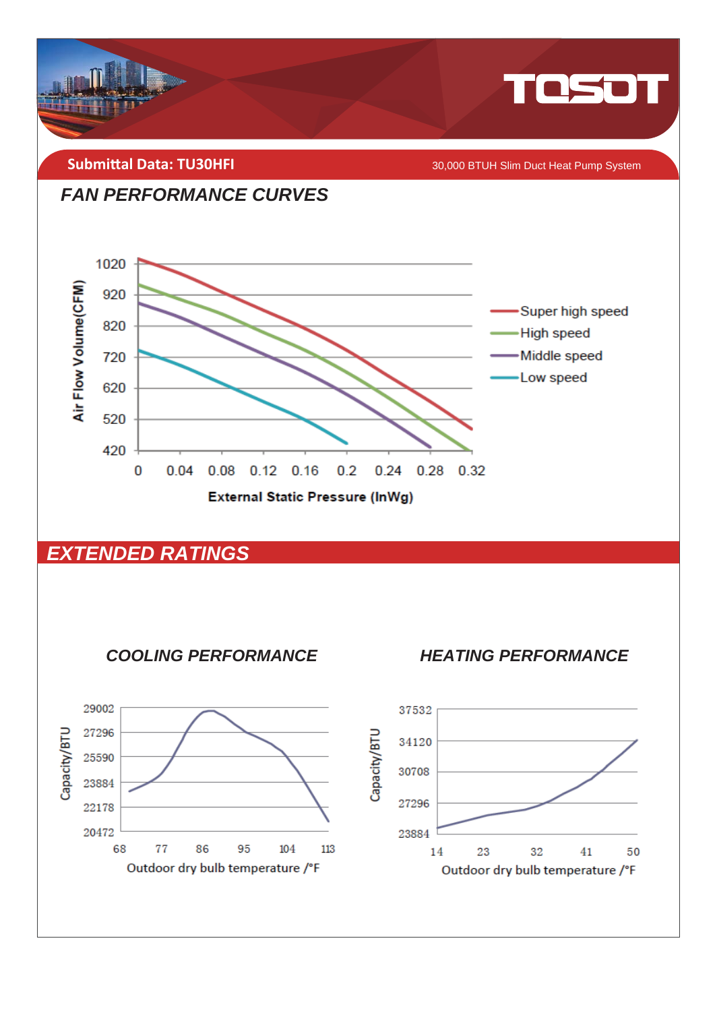

**Submittal Data: TU30HFI** 

30,000 BTUH Slim Duct Heat Pump System





#### **EXTENDED RATINGS**



**HEATING PERFORMANCE** 

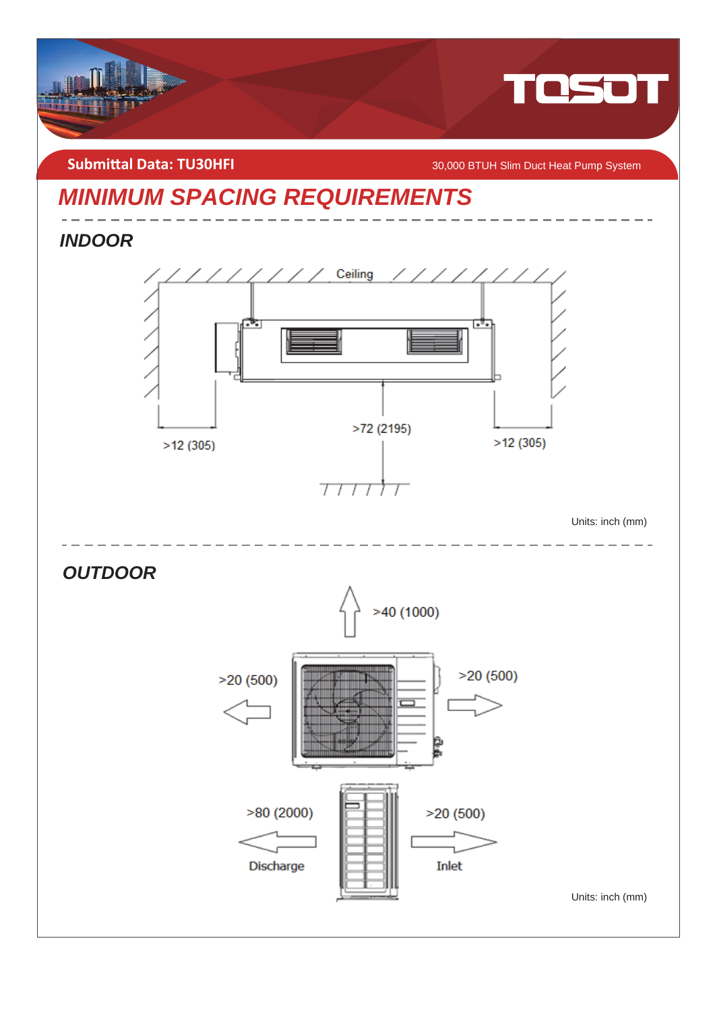

**Submittal Data: TU30HFI** *COMBILITY SUMBER 10,000 BTUH Slim Duct Heat Pump System* 

## *MINIMUM SPACING REQUIREMENTS*

*INDOOR* 



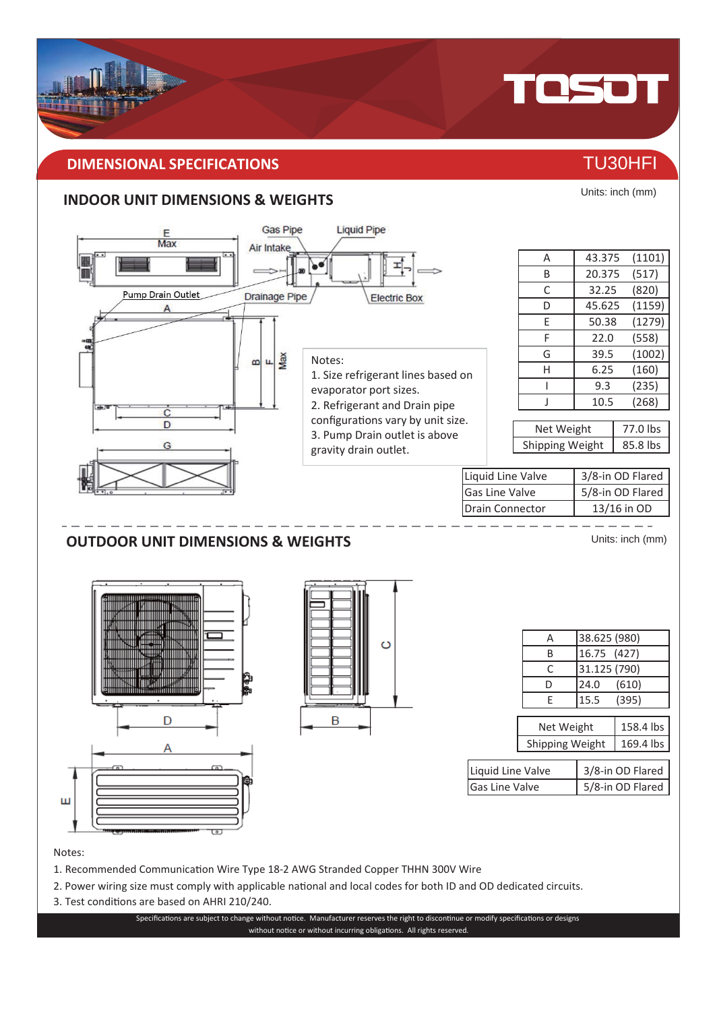#### **DIMENSIONAL SPECIFICATIONS** THE RESERVE OF THE RESERVE TU30HFI

#### **INDOOR UNIT DIMENSIONS & WEIGHTS**



#### Notes:

- 1. Recommended Communication Wire Type 18-2 AWG Stranded Copper THHN 300V Wire
- 2. Power wiring size must comply with applicable national and local codes for both ID and OD dedicated circuits.
- 3. Test conditions are based on AHRI 210/240.

Specifications are subject to change without notice. Manufacturer reserves the right to discontinue or modify specifications or designs without notice or without incurring obligations. All rights reserved.



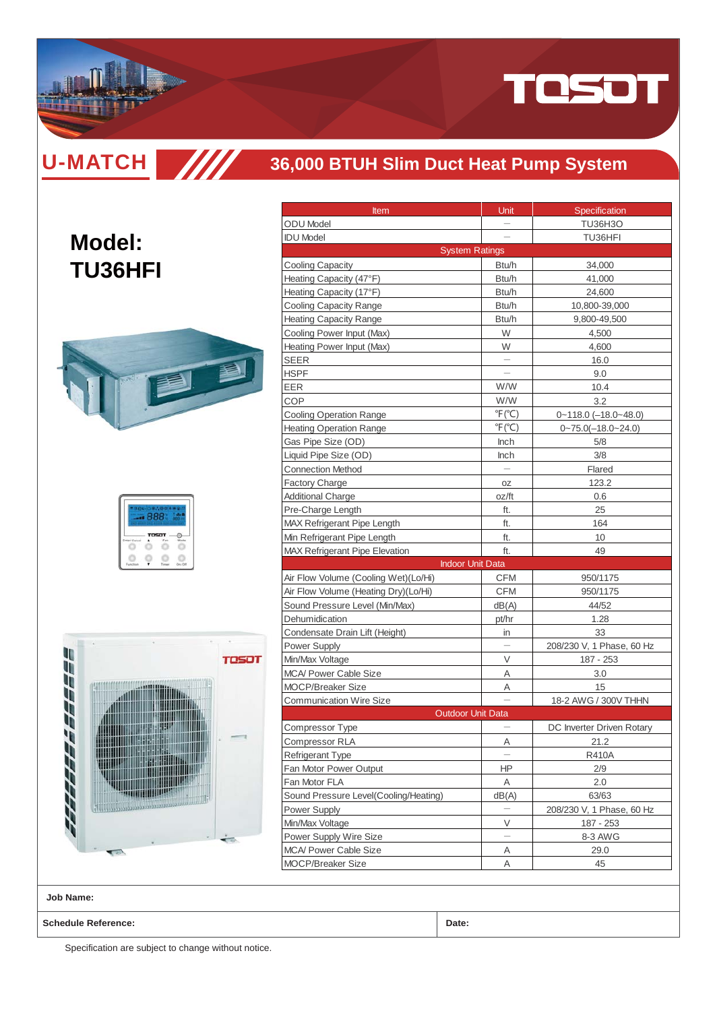

**U-MATCH SIM** 

**Model:**

**TU36HFI**

#### **36,000 BTUH Slim Duct Heat Pump System**

|  | <b>TOSOT</b> |  |
|--|--------------|--|
|  |              |  |



|                                                          | Unit                      |                                 |
|----------------------------------------------------------|---------------------------|---------------------------------|
| <b>Item</b><br><b>ODU</b> Model                          |                           | Specification<br><b>TU36H3O</b> |
| <b>IDU Model</b>                                         |                           | TU36HFI                         |
|                                                          | <b>System Ratings</b>     |                                 |
| <b>Cooling Capacity</b>                                  | Btu/h                     | 34,000                          |
| Heating Capacity (47°F)                                  | Btu/h                     | 41,000                          |
|                                                          | Btu/h                     |                                 |
| Heating Capacity (17°F)<br><b>Cooling Capacity Range</b> | Btu/h                     | 24,600                          |
| <b>Heating Capacity Range</b>                            | Btu/h                     | 10,800-39,000<br>9,800-49,500   |
| Cooling Power Input (Max)                                | W                         | 4,500                           |
| Heating Power Input (Max)                                | W                         | 4,600                           |
| <b>SEER</b>                                              |                           | 16.0                            |
| HSPF                                                     |                           | 9.0                             |
| EER                                                      | W/W                       | 10.4                            |
| COP                                                      | W/W                       | 3.2                             |
| <b>Cooling Operation Range</b>                           | $\degree$ F( $\degree$ C) | $0 - 118.0$ (-18.0~48.0)        |
| <b>Heating Operation Range</b>                           | $\degree$ F( $\degree$ C) | $0 - 75.0(-18.0 - 24.0)$        |
| Gas Pipe Size (OD)                                       | <b>Inch</b>               | 5/8                             |
| Liquid Pipe Size (OD)                                    | Inch                      | 3/8                             |
| <b>Connection Method</b>                                 |                           | Flared                          |
| <b>Factory Charge</b>                                    | 0Z                        | 123.2                           |
| <b>Additional Charge</b>                                 | oz/ft                     | 0.6                             |
| Pre-Charge Length                                        | ft.                       | 25                              |
| <b>MAX Refrigerant Pipe Length</b>                       | ft.                       | 164                             |
| Min Refrigerant Pipe Length                              | ft.                       | 10                              |
| <b>MAX Refrigerant Pipe Elevation</b>                    | ft.                       | 49                              |
|                                                          | <b>Indoor Unit Data</b>   |                                 |
| Air Flow Volume (Cooling Wet)(Lo/Hi)                     | CFM                       | 950/1175                        |
| Air Flow Volume (Heating Dry)(Lo/Hi)                     | CFM                       | 950/1175                        |
| Sound Pressure Level (Min/Max)                           | dB(A)                     | 44/52                           |
| Dehumidication                                           | pt/hr                     | 1.28                            |
| Condensate Drain Lift (Height)                           | in                        | 33                              |
| Power Supply                                             |                           | 208/230 V, 1 Phase, 60 Hz       |
| Min/Max Voltage                                          | V                         | 187 - 253                       |
| <b>MCA/ Power Cable Size</b>                             | Α                         | 3.0                             |
| <b>MOCP/Breaker Size</b>                                 | Α                         | 15                              |
| <b>Communication Wire Size</b>                           |                           | 18-2 AWG / 300V THHN            |
|                                                          | <b>Outdoor Unit Data</b>  |                                 |
| Compressor Type                                          |                           | DC Inverter Driven Rotary       |
| <b>Compressor RLA</b>                                    | Α                         | 21.2                            |
| Refrigerant Type                                         |                           | <b>R410A</b>                    |
| Fan Motor Power Output                                   | ΗP                        | 2/9                             |
| Fan Motor FLA                                            | Α                         | 2.0                             |
| Sound Pressure Level(Cooling/Heating)                    | dB(A)                     | 63/63                           |
| Power Supply                                             |                           | 208/230 V, 1 Phase, 60 Hz       |
| Min/Max Voltage                                          | V                         | 187 - 253                       |
| Power Supply Wire Size                                   |                           | 8-3 AWG                         |
| <b>MCA/ Power Cable Size</b>                             | Α                         | 29.0                            |
| MOCP/Breaker Size                                        | Α                         | 45                              |
|                                                          |                           |                                 |

**Job Name:**

**Schedule Reference: Date:**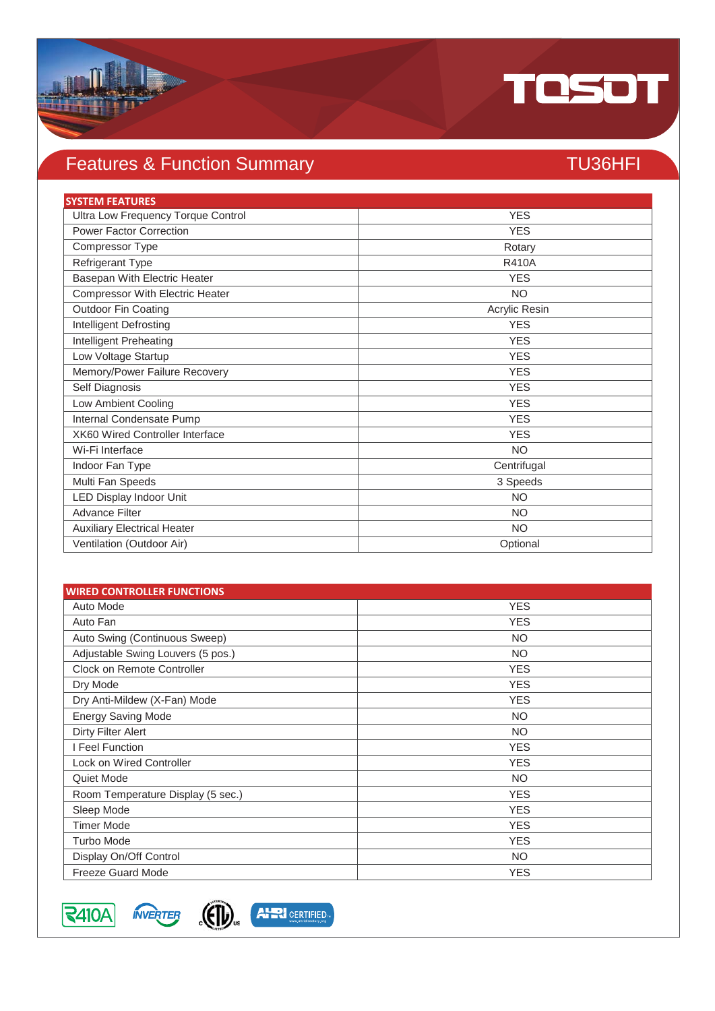

## Features & Function Summary TU36HFI

| <b>SYSTEM FEATURES</b>                 |               |
|----------------------------------------|---------------|
| Ultra Low Frequency Torque Control     | <b>YES</b>    |
| <b>Power Factor Correction</b>         | <b>YES</b>    |
| Compressor Type                        | Rotary        |
| Refrigerant Type                       | <b>R410A</b>  |
| Basepan With Electric Heater           | <b>YES</b>    |
| <b>Compressor With Electric Heater</b> | <b>NO</b>     |
| <b>Outdoor Fin Coating</b>             | Acrylic Resin |
| <b>Intelligent Defrosting</b>          | <b>YES</b>    |
| Intelligent Preheating                 | <b>YES</b>    |
| Low Voltage Startup                    | <b>YES</b>    |
| Memory/Power Failure Recovery          | <b>YES</b>    |
| Self Diagnosis                         | <b>YES</b>    |
| Low Ambient Cooling                    | <b>YES</b>    |
| Internal Condensate Pump               | <b>YES</b>    |
| <b>XK60 Wired Controller Interface</b> | <b>YES</b>    |
| Wi-Fi Interface                        | <b>NO</b>     |
| Indoor Fan Type                        | Centrifugal   |
| Multi Fan Speeds                       | 3 Speeds      |
| <b>LED Display Indoor Unit</b>         | <b>NO</b>     |
| <b>Advance Filter</b>                  | <b>NO</b>     |
| <b>Auxiliary Electrical Heater</b>     | <b>NO</b>     |
| Ventilation (Outdoor Air)              | Optional      |

| <b>WIRED CONTROLLER FUNCTIONS</b> |            |
|-----------------------------------|------------|
| Auto Mode                         | <b>YES</b> |
| Auto Fan                          | <b>YES</b> |
| Auto Swing (Continuous Sweep)     | <b>NO</b>  |
| Adjustable Swing Louvers (5 pos.) | <b>NO</b>  |
| <b>Clock on Remote Controller</b> | <b>YES</b> |
| Dry Mode                          | <b>YES</b> |
| Dry Anti-Mildew (X-Fan) Mode      | <b>YES</b> |
| <b>Energy Saving Mode</b>         | <b>NO</b>  |
| Dirty Filter Alert                | <b>NO</b>  |
| I Feel Function                   | <b>YES</b> |
| <b>Lock on Wired Controller</b>   | <b>YES</b> |
| Quiet Mode                        | <b>NO</b>  |
| Room Temperature Display (5 sec.) | <b>YES</b> |
| Sleep Mode                        | <b>YES</b> |
| <b>Timer Mode</b>                 | <b>YES</b> |
| <b>Turbo Mode</b>                 | <b>YES</b> |
| Display On/Off Control            | <b>NO</b>  |
| <b>Freeze Guard Mode</b>          | <b>YES</b> |



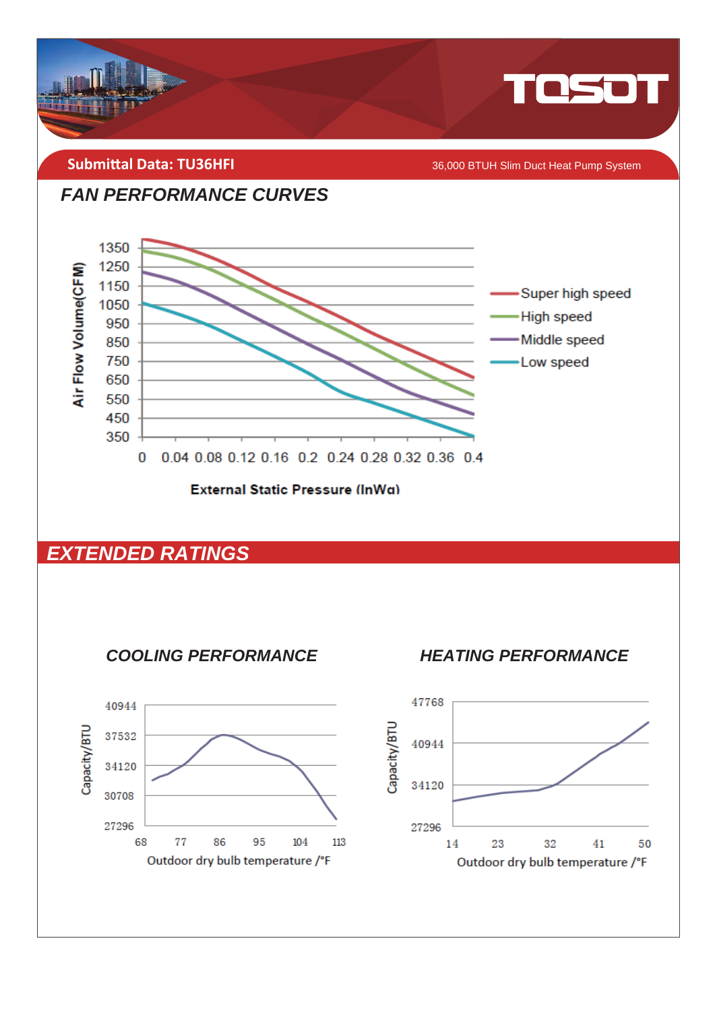

**FAN PERFORMANCE CURVES** 



**External Static Pressure (InWg)** 

#### **EXTENDED RATINGS**



**HEATING PERFORMANCE** 

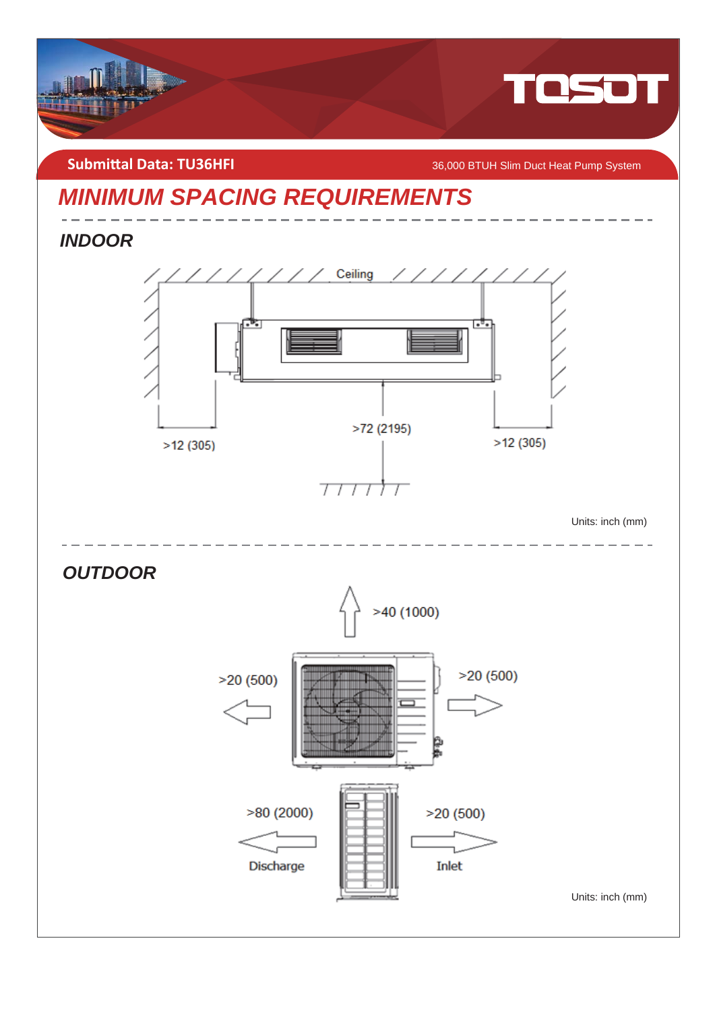

**Submittal Data: TU36HFI** *COMBIT CONGRESS AGO BTUH Slim Duct Heat Pump System* 

## *MINIMUM SPACING REQUIREMENTS*

*INDOOR* 



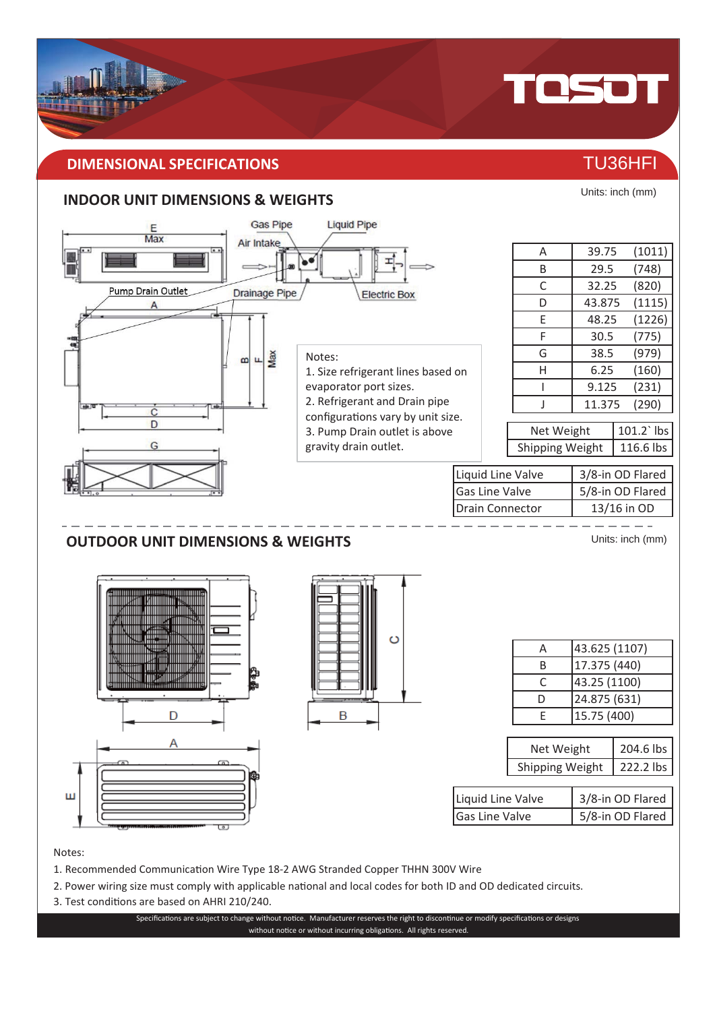#### **DIMENSIONAL SPECIFICATIONS** THE RESERVE OF THE RESERVE TU36HFI

#### **INDOOR UNIT DIMENSIONS & WEIGHTS**



#### Notes:

- 1. Recommended Communication Wire Type 18-2 AWG Stranded Copper THHN 300V Wire
- 2. Power wiring size must comply with applicable national and local codes for both ID and OD dedicated circuits.
- 3. Test conditions are based on AHRI 210/240.

Specifications are subject to change without notice. Manufacturer reserves the right to discontinue or modify specifications or designs without notice or without incurring obligations. All rights reserved.



TOSOT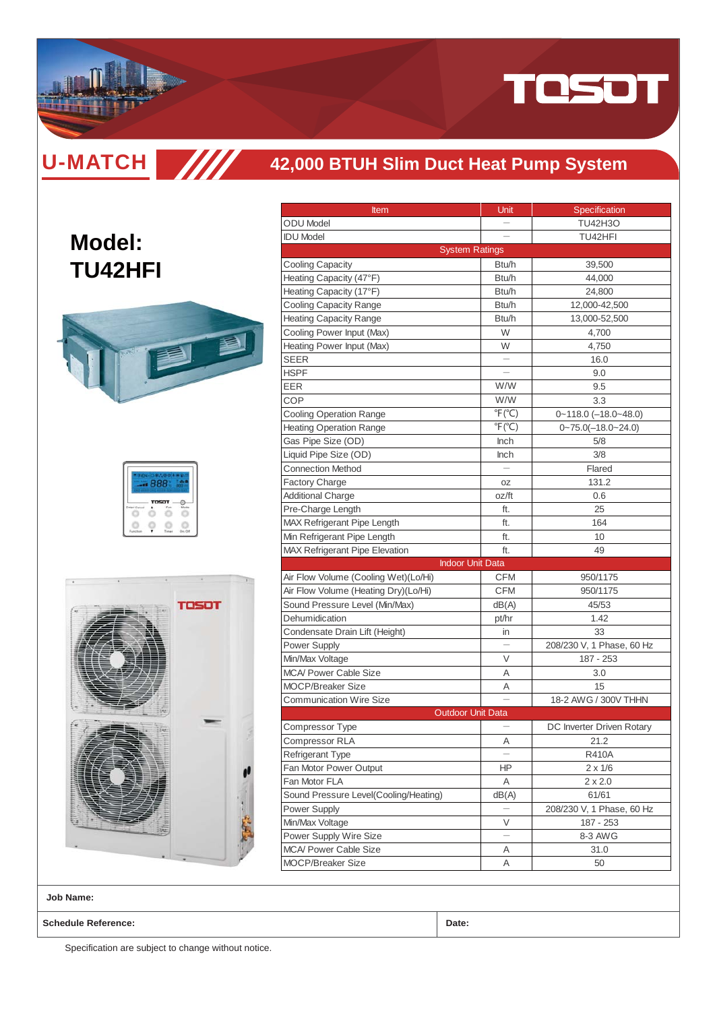

**U-MATCH SIII** 

#### **42,000 BTUH Slim Duct Heat Pump System**

## **Model: TU42HFI**



| 59 H G |                                    |  |
|--------|------------------------------------|--|
|        | <b>State State</b><br><b>TOSOT</b> |  |
|        |                                    |  |



| <b>Item</b>                                                                                                                                                                                                                                                                              | Unit                      | Specification             |
|------------------------------------------------------------------------------------------------------------------------------------------------------------------------------------------------------------------------------------------------------------------------------------------|---------------------------|---------------------------|
| <b>ODU</b> Model                                                                                                                                                                                                                                                                         |                           | <b>TU42H3O</b>            |
| <b>IDU Model</b>                                                                                                                                                                                                                                                                         |                           | TU42HFI                   |
|                                                                                                                                                                                                                                                                                          | <b>System Ratings</b>     |                           |
| <b>Cooling Capacity</b>                                                                                                                                                                                                                                                                  | Btu/h                     | 39,500                    |
| Heating Capacity (47°F)                                                                                                                                                                                                                                                                  | Btu/h                     | 44,000                    |
| Heating Capacity (17°F)                                                                                                                                                                                                                                                                  | Btu/h                     | 24,800                    |
| <b>Cooling Capacity Range</b>                                                                                                                                                                                                                                                            | Btu/h                     | 12,000-42,500             |
| <b>Heating Capacity Range</b>                                                                                                                                                                                                                                                            | Btu/h                     | 13,000-52,500             |
| Cooling Power Input (Max)                                                                                                                                                                                                                                                                | W                         | 4,700                     |
| Heating Power Input (Max)                                                                                                                                                                                                                                                                | W                         | 4,750                     |
| <b>SEER</b>                                                                                                                                                                                                                                                                              |                           | 16.0                      |
| HSPF                                                                                                                                                                                                                                                                                     |                           | 9.0                       |
| EER                                                                                                                                                                                                                                                                                      | W/W                       | 9.5                       |
| COP                                                                                                                                                                                                                                                                                      | W/W                       | 3.3                       |
| <b>Cooling Operation Range</b>                                                                                                                                                                                                                                                           | $\degree$ F( $\degree$ C) | $0 - 118.0$ (-18.0~48.0)  |
| <b>Heating Operation Range</b>                                                                                                                                                                                                                                                           | $\degree$ F( $\degree$ C) | $0 - 75.0(-18.0 - 24.0)$  |
| Gas Pipe Size (OD)                                                                                                                                                                                                                                                                       | Inch                      | 5/8                       |
| Liquid Pipe Size (OD)                                                                                                                                                                                                                                                                    | Inch                      | 3/8                       |
| <b>Connection Method</b>                                                                                                                                                                                                                                                                 |                           | Flared                    |
| <b>Factory Charge</b>                                                                                                                                                                                                                                                                    | OZ                        | 131.2                     |
| <b>Additional Charge</b>                                                                                                                                                                                                                                                                 | oz/ft                     | 0.6                       |
| Pre-Charge Length                                                                                                                                                                                                                                                                        | ft.                       | 25                        |
| MAX Refrigerant Pipe Length                                                                                                                                                                                                                                                              | ft.                       | 164                       |
| Min Refrigerant Pipe Length                                                                                                                                                                                                                                                              |                           | 10                        |
|                                                                                                                                                                                                                                                                                          | ft.                       |                           |
|                                                                                                                                                                                                                                                                                          | ft.                       | 49                        |
|                                                                                                                                                                                                                                                                                          | <b>Indoor Unit Data</b>   |                           |
|                                                                                                                                                                                                                                                                                          | <b>CFM</b>                | 950/1175                  |
|                                                                                                                                                                                                                                                                                          | <b>CFM</b>                | 950/1175                  |
|                                                                                                                                                                                                                                                                                          |                           | 45/53                     |
|                                                                                                                                                                                                                                                                                          | dB(A)                     | 1.42                      |
|                                                                                                                                                                                                                                                                                          | pt/hr                     | 33                        |
|                                                                                                                                                                                                                                                                                          | in                        |                           |
| <b>MAX Refrigerant Pipe Elevation</b><br>Air Flow Volume (Cooling Wet)(Lo/Hi)<br>Air Flow Volume (Heating Dry)(Lo/Hi)<br>Sound Pressure Level (Min/Max)<br>Dehumidication<br>Condensate Drain Lift (Height)<br>Power Supply                                                              |                           | 208/230 V, 1 Phase, 60 Hz |
|                                                                                                                                                                                                                                                                                          | V                         | 187 - 253                 |
|                                                                                                                                                                                                                                                                                          | Α                         | 3.0                       |
|                                                                                                                                                                                                                                                                                          | Α                         | 15                        |
|                                                                                                                                                                                                                                                                                          |                           | 18-2 AWG / 300V THHN      |
|                                                                                                                                                                                                                                                                                          | <b>Outdoor Unit Data</b>  |                           |
|                                                                                                                                                                                                                                                                                          |                           | DC Inverter Driven Rotary |
|                                                                                                                                                                                                                                                                                          | Α                         | 21.2                      |
|                                                                                                                                                                                                                                                                                          |                           | <b>R410A</b>              |
|                                                                                                                                                                                                                                                                                          | ΗP                        | $2 \times 1/6$            |
|                                                                                                                                                                                                                                                                                          | Α                         | $2 \times 2.0$            |
|                                                                                                                                                                                                                                                                                          | dB(A)                     | 61/61                     |
| Min/Max Voltage<br><b>MCA/ Power Cable Size</b><br><b>MOCP/Breaker Size</b><br><b>Communication Wire Size</b><br>Compressor Type<br><b>Compressor RLA</b><br><b>Refrigerant Type</b><br>Fan Motor Power Output<br>Fan Motor FLA<br>Sound Pressure Level(Cooling/Heating)<br>Power Supply |                           | 208/230 V, 1 Phase, 60 Hz |
| Min/Max Voltage                                                                                                                                                                                                                                                                          | V                         | 187 - 253                 |
| Power Supply Wire Size<br><b>MCA/ Power Cable Size</b>                                                                                                                                                                                                                                   | Α                         | 8-3 AWG<br>31.0           |

**Job Name:**

**Schedule Reference: Date:**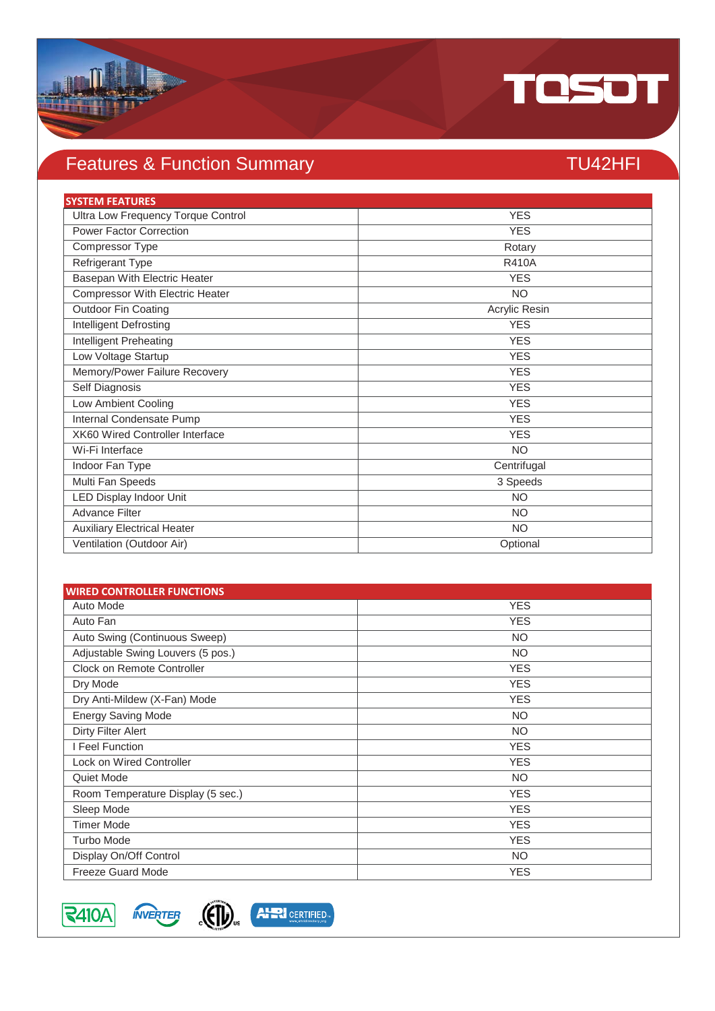

## Features & Function Summary TU42HFI

| <b>SYSTEM FEATURES</b>             |               |
|------------------------------------|---------------|
| Ultra Low Frequency Torque Control | <b>YES</b>    |
| <b>Power Factor Correction</b>     | <b>YES</b>    |
| Compressor Type                    | Rotary        |
| Refrigerant Type                   | <b>R410A</b>  |
| Basepan With Electric Heater       | <b>YES</b>    |
| Compressor With Electric Heater    | <b>NO</b>     |
| <b>Outdoor Fin Coating</b>         | Acrylic Resin |
| Intelligent Defrosting             | <b>YES</b>    |
| Intelligent Preheating             | <b>YES</b>    |
| Low Voltage Startup                | <b>YES</b>    |
| Memory/Power Failure Recovery      | <b>YES</b>    |
| Self Diagnosis                     | <b>YES</b>    |
| Low Ambient Cooling                | <b>YES</b>    |
| Internal Condensate Pump           | <b>YES</b>    |
| XK60 Wired Controller Interface    | <b>YES</b>    |
| Wi-Fi Interface                    | <b>NO</b>     |
| Indoor Fan Type                    | Centrifugal   |
| Multi Fan Speeds                   | 3 Speeds      |
| <b>LED Display Indoor Unit</b>     | <b>NO</b>     |
| <b>Advance Filter</b>              | <b>NO</b>     |
| <b>Auxiliary Electrical Heater</b> | <b>NO</b>     |
| Ventilation (Outdoor Air)          | Optional      |

| <b>WIRED CONTROLLER FUNCTIONS</b> |            |
|-----------------------------------|------------|
| Auto Mode                         | <b>YES</b> |
| Auto Fan                          | <b>YES</b> |
| Auto Swing (Continuous Sweep)     | <b>NO</b>  |
| Adjustable Swing Louvers (5 pos.) | <b>NO</b>  |
| Clock on Remote Controller        | <b>YES</b> |
| Dry Mode                          | <b>YES</b> |
| Dry Anti-Mildew (X-Fan) Mode      | <b>YES</b> |
| <b>Energy Saving Mode</b>         | <b>NO</b>  |
| Dirty Filter Alert                | <b>NO</b>  |
| I Feel Function                   | <b>YES</b> |
| <b>Lock on Wired Controller</b>   | <b>YES</b> |
| Quiet Mode                        | NO.        |
| Room Temperature Display (5 sec.) | <b>YES</b> |
| Sleep Mode                        | <b>YES</b> |
| <b>Timer Mode</b>                 | <b>YES</b> |
| <b>Turbo Mode</b>                 | <b>YES</b> |
| Display On/Off Control            | NO.        |
| <b>Freeze Guard Mode</b>          | <b>YES</b> |



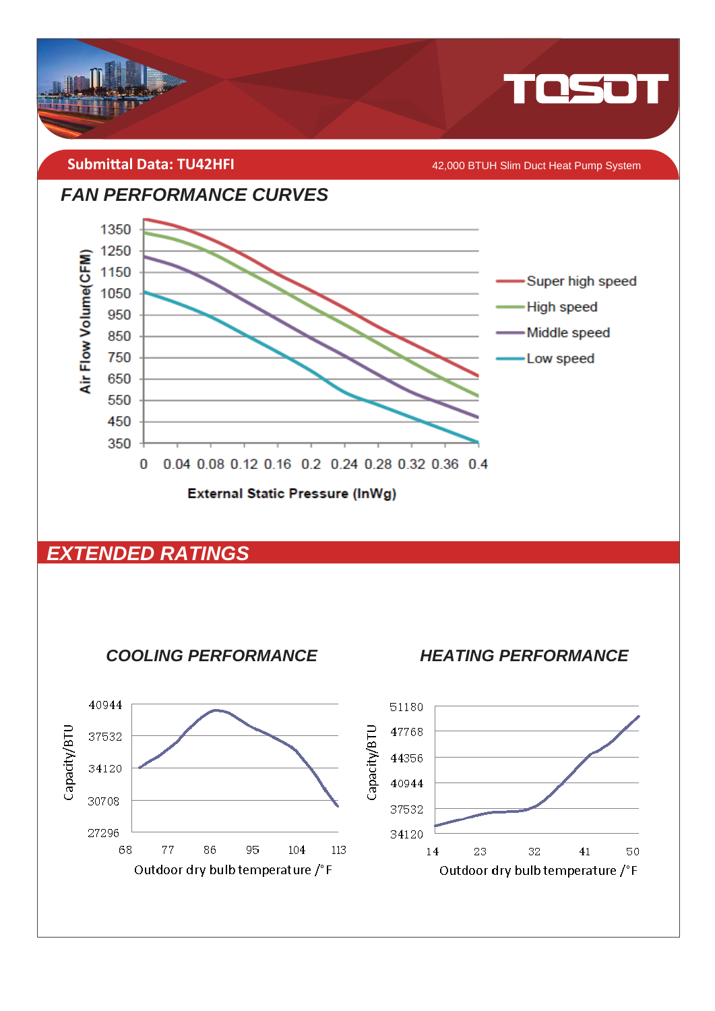

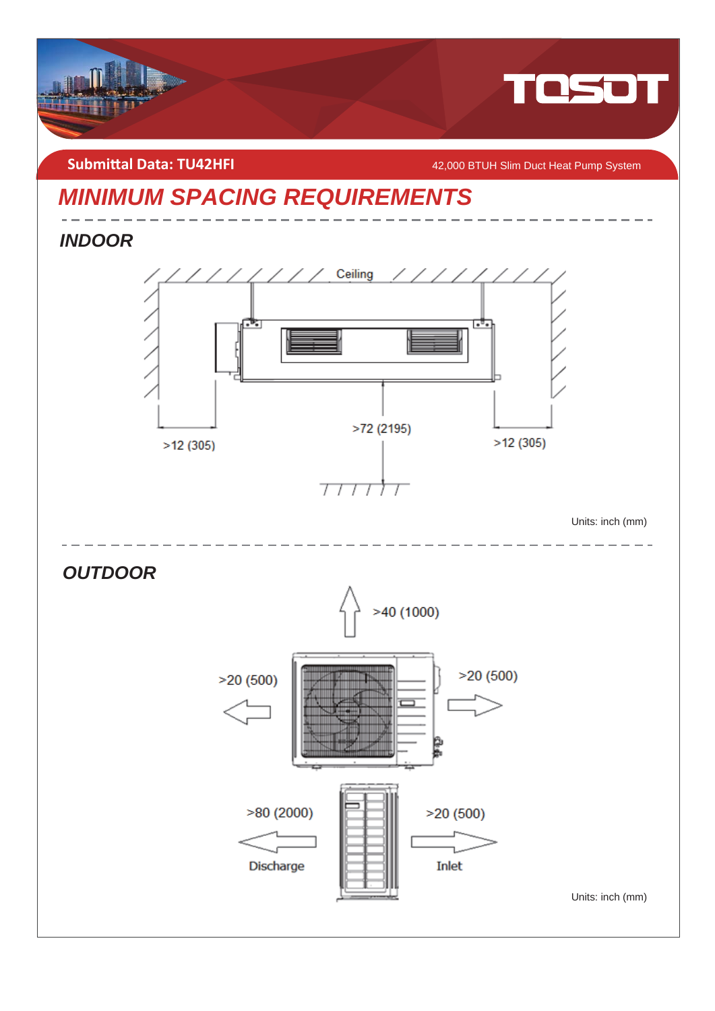

**Submittal Data: TU42HFI** *COMPONE ACCOUNT MACHO MACHO MEAN ACCOUNT MACHO MEAN ACCOUNT MACHO MACHO MEAN PUMP System* 

## *MINIMUM SPACING REQUIREMENTS*

*INDOOR* 



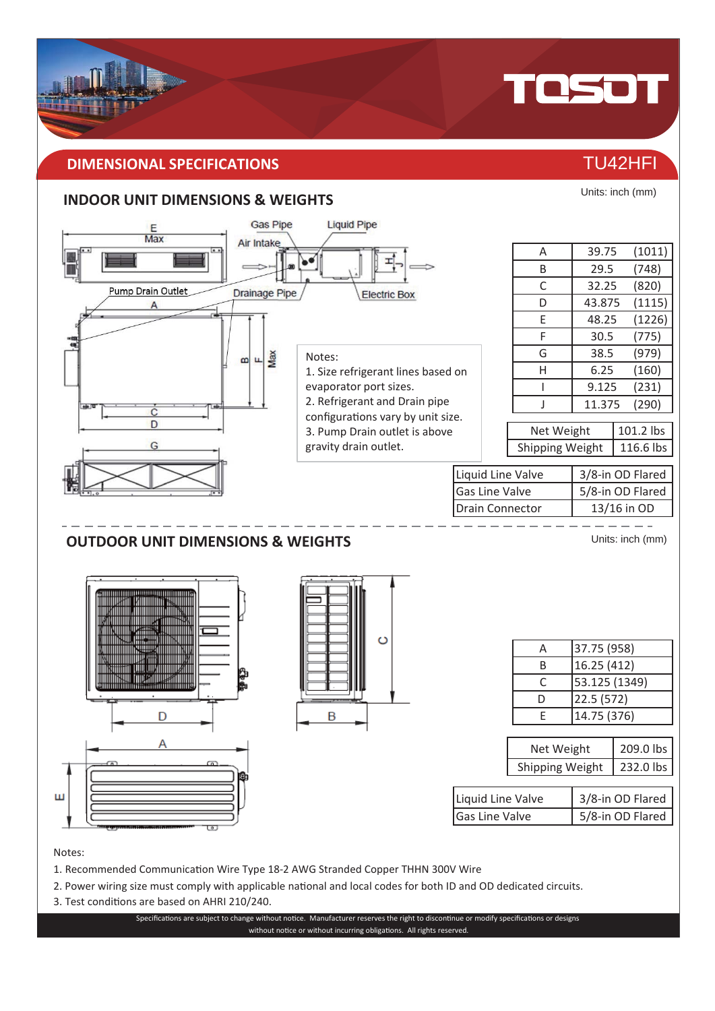#### **DIMENSIONAL SPECIFICATIONS** THE CONSTRUCTION OF THE CONSTRUCTION OF TU42HFI

#### **INDOOR UNIT DIMENSIONS & WEIGHTS**



Notes:

- 1. Recommended Communication Wire Type 18-2 AWG Stranded Copper THHN 300V Wire
- 2. Power wiring size must comply with applicable national and local codes for both ID and OD dedicated circuits.
- 3. Test conditions are based on AHRI 210/240.

Specifications are subject to change without notice. Manufacturer reserves the right to discontinue or modify specifications or designs without notice or without incurring obligations. All rights reserved.



Units: inch (mm)

TOSOT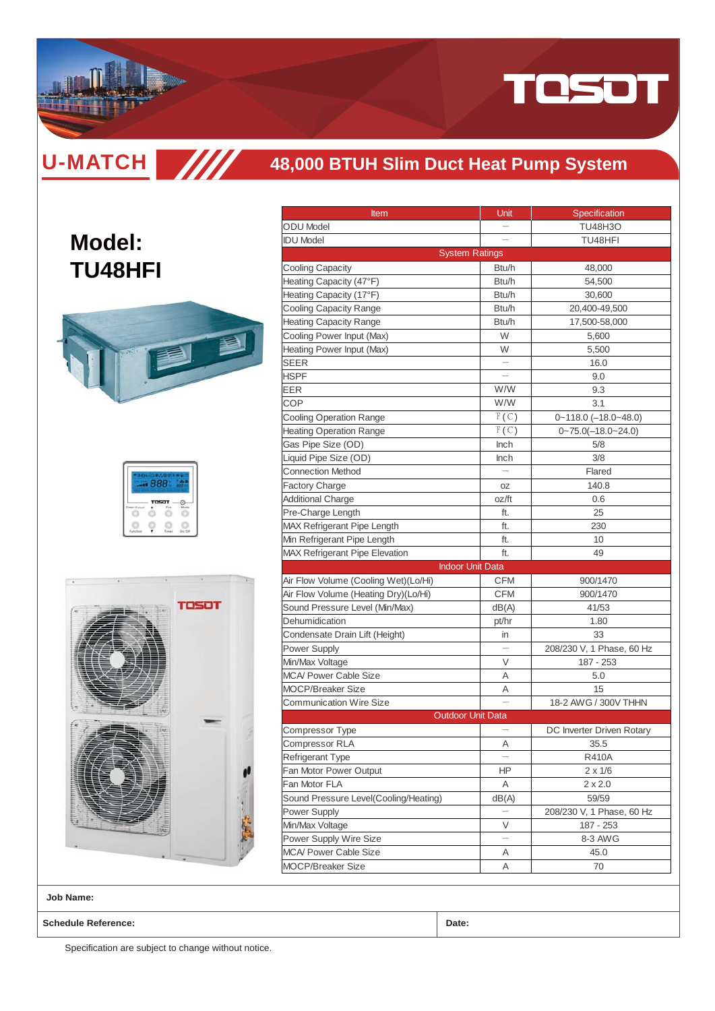

**U-MATCH SIM** 

#### **48,000 BTUH Slim Duct Heat Pump System**

## **Model: TU48HFI**



| 888 |       |  |
|-----|-------|--|
|     | TOSOT |  |
|     |       |  |



| <b>Item</b>                           | Unit  | Specification                |
|---------------------------------------|-------|------------------------------|
| <b>ODU Model</b>                      |       | TU48H3O                      |
| <b>IDU Model</b>                      |       | TU48HFI                      |
| <b>System Ratings</b>                 |       |                              |
| <b>Cooling Capacity</b>               | Btu/h | 48,000                       |
| Heating Capacity (47°F)               | Btu/h | 54,500                       |
| Heating Capacity (17°F)               | Btu/h | 30,600                       |
| Cooling Capacity Range                | Btu/h | 20,400-49,500                |
| <b>Heating Capacity Range</b>         | Btu/h | 17,500-58,000                |
| Cooling Power Input (Max)             | W     | 5,600                        |
| Heating Power Input (Max)             | W     | 5,500                        |
| <b>SEER</b>                           |       | 16.0                         |
| HSPF                                  |       | 9.0                          |
| EER                                   | W/W   | 9.3                          |
| COP                                   | W/W   | 3.1                          |
| <b>Cooling Operation Range</b>        | F(C)  | $0 - 118.0$ $(-18.0 - 48.0)$ |
| <b>Heating Operation Range</b>        | F(C)  | $0 - 75.0(-18.0 - 24.0)$     |
| Gas Pipe Size (OD)                    | Inch  | 5/8                          |
| Liquid Pipe Size (OD)                 | Inch  | 3/8                          |
| <b>Connection Method</b>              |       | Flared                       |
| <b>Factory Charge</b>                 | 0Z    | 140.8                        |
| <b>Additional Charge</b>              | oz/ft | 0.6                          |
| Pre-Charge Length                     | ft.   | 25                           |
| MAX Refrigerant Pipe Length           | ft.   | 230                          |
| Min Refrigerant Pipe Length           | ft.   | 10                           |
| <b>MAX Refrigerant Pipe Elevation</b> | ft.   | 49                           |
| <b>Indoor Unit Data</b>               |       |                              |
| Air Flow Volume (Cooling Wet)(Lo/Hi)  | CFM   | 900/1470                     |
| Air Flow Volume (Heating Dry)(Lo/Hi)  | CFM   | 900/1470                     |
| Sound Pressure Level (Min/Max)        | dB(A) | 41/53                        |
| Dehumidication                        | pt/hr | 1.80                         |
| Condensate Drain Lift (Height)        | in    | 33                           |
| Power Supply                          |       | 208/230 V, 1 Phase, 60 Hz    |
| Min/Max Voltage                       | V     | 187 - 253                    |
| <b>MCA/ Power Cable Size</b>          | Α     | 5.0                          |
| <b>MOCP/Breaker Size</b>              | Α     | 15                           |
| <b>Communication Wire Size</b>        |       | 18-2 AWG / 300V THHN         |
| <b>Outdoor Unit Data</b>              |       |                              |
| Compressor Type                       |       | DC Inverter Driven Rotary    |
| <b>Compressor RLA</b>                 | Α     | 35.5                         |
| Refrigerant Type                      |       | <b>R410A</b>                 |
| Fan Motor Power Output                | ΗP    | $2 \times 1/6$               |
| Fan Motor FLA                         | Α     | $2 \times 2.0$               |
| Sound Pressure Level(Cooling/Heating) | dB(A) | 59/59                        |
| Power Supply                          |       | 208/230 V, 1 Phase, 60 Hz    |
| Min/Max Voltage                       | V     | 187 - 253                    |
| Power Supply Wire Size                |       | 8-3 AWG                      |
| MCA/ Power Cable Size                 | Α     | 45.0                         |
| <b>MOCP/Breaker Size</b>              | Α     | 70                           |
|                                       |       |                              |

**Job Name:**

**Schedule Reference: Date:**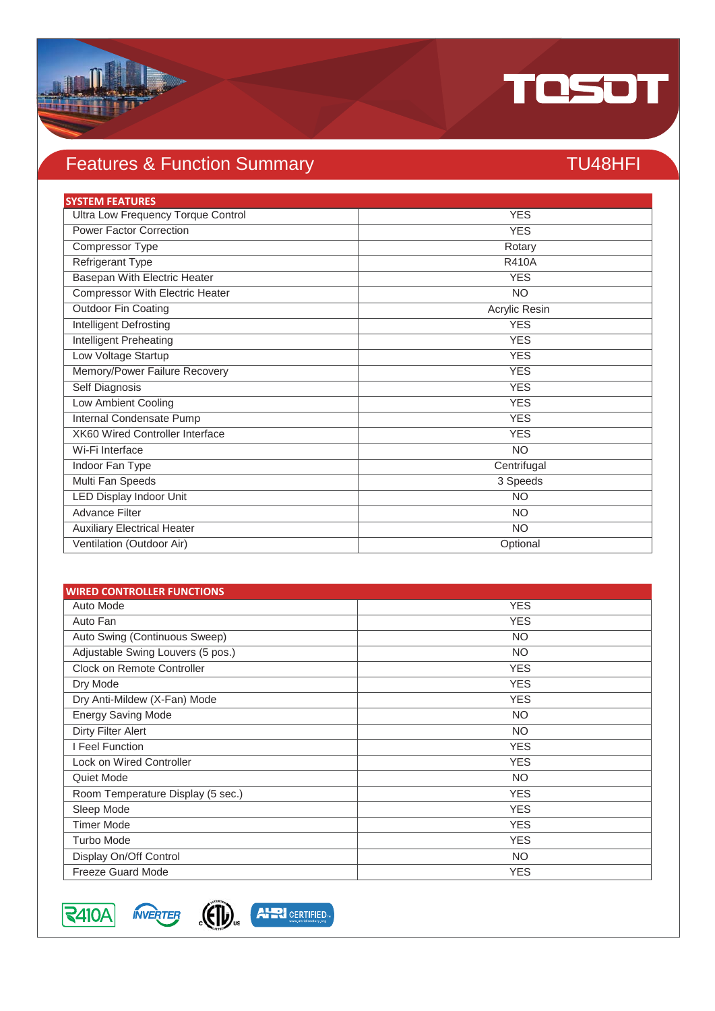

## Features & Function Summary TU48HFI

| <b>SYSTEM FEATURES</b>                 |               |
|----------------------------------------|---------------|
| Ultra Low Frequency Torque Control     | <b>YES</b>    |
| <b>Power Factor Correction</b>         | <b>YES</b>    |
| Compressor Type                        | Rotary        |
| <b>Refrigerant Type</b>                | <b>R410A</b>  |
| <b>Basepan With Electric Heater</b>    | <b>YES</b>    |
| Compressor With Electric Heater        | <b>NO</b>     |
| Outdoor Fin Coating                    | Acrylic Resin |
| Intelligent Defrosting                 | <b>YES</b>    |
| Intelligent Preheating                 | <b>YES</b>    |
| Low Voltage Startup                    | <b>YES</b>    |
| Memory/Power Failure Recovery          | <b>YES</b>    |
| Self Diagnosis                         | <b>YES</b>    |
| Low Ambient Cooling                    | <b>YES</b>    |
| Internal Condensate Pump               | <b>YES</b>    |
| <b>XK60 Wired Controller Interface</b> | <b>YES</b>    |
| Wi-Fi Interface                        | <b>NO</b>     |
| Indoor Fan Type                        | Centrifugal   |
| Multi Fan Speeds                       | 3 Speeds      |
| <b>LED Display Indoor Unit</b>         | <b>NO</b>     |
| <b>Advance Filter</b>                  | <b>NO</b>     |
| <b>Auxiliary Electrical Heater</b>     | <b>NO</b>     |
| Ventilation (Outdoor Air)              | Optional      |

| <b>WIRED CONTROLLER FUNCTIONS</b> |            |
|-----------------------------------|------------|
| Auto Mode                         | <b>YES</b> |
| Auto Fan                          | <b>YES</b> |
| Auto Swing (Continuous Sweep)     | <b>NO</b>  |
| Adjustable Swing Louvers (5 pos.) | <b>NO</b>  |
| Clock on Remote Controller        | <b>YES</b> |
| Dry Mode                          | <b>YES</b> |
| Dry Anti-Mildew (X-Fan) Mode      | <b>YES</b> |
| <b>Energy Saving Mode</b>         | <b>NO</b>  |
| Dirty Filter Alert                | <b>NO</b>  |
| I Feel Function                   | <b>YES</b> |
| <b>Lock on Wired Controller</b>   | <b>YES</b> |
| Quiet Mode                        | <b>NO</b>  |
| Room Temperature Display (5 sec.) | <b>YES</b> |
| Sleep Mode                        | <b>YES</b> |
| <b>Timer Mode</b>                 | <b>YES</b> |
| <b>Turbo Mode</b>                 | <b>YES</b> |
| Display On/Off Control            | <b>NO</b>  |
| <b>Freeze Guard Mode</b>          | <b>YES</b> |



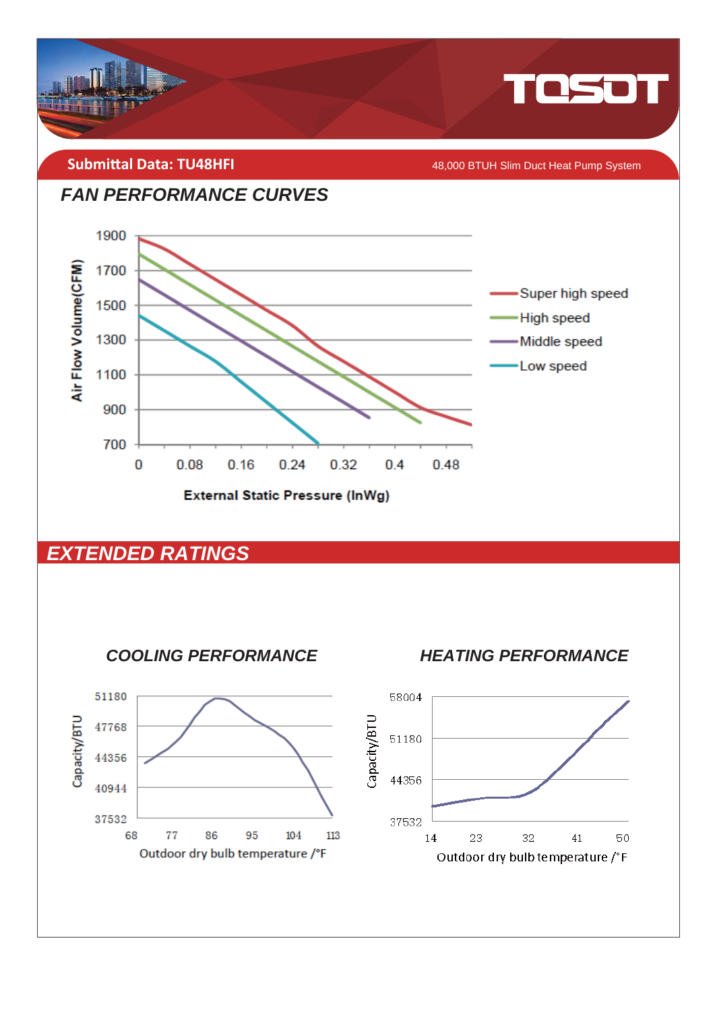

**Submittal Data: TU48HFI** 

48,000 BTUH Slim Duct Heat Pump System





#### **EXTENDED RATINGS**



**HEATING PERFORMANCE** 

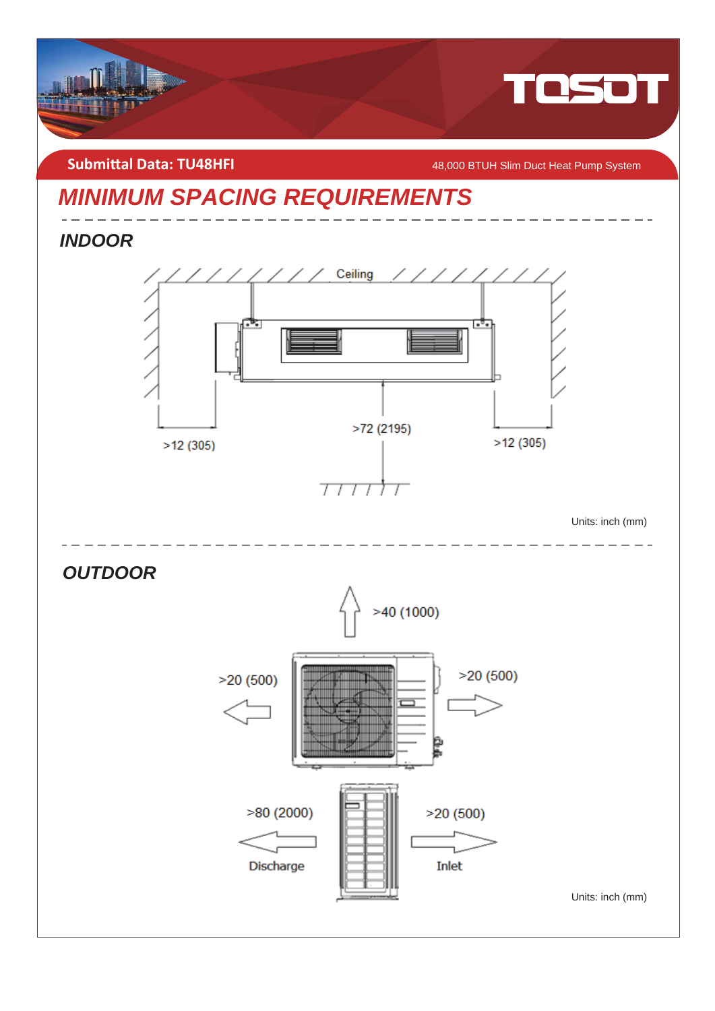

#### **Submittal Data: TU48HFI** *COMBILAGRAFI COMBILAGRAFIA <b>18,000 BTUH Slim Duct Heat Pump System*

## *MINIMUM SPACING REQUIREMENTS*

*INDOOR*